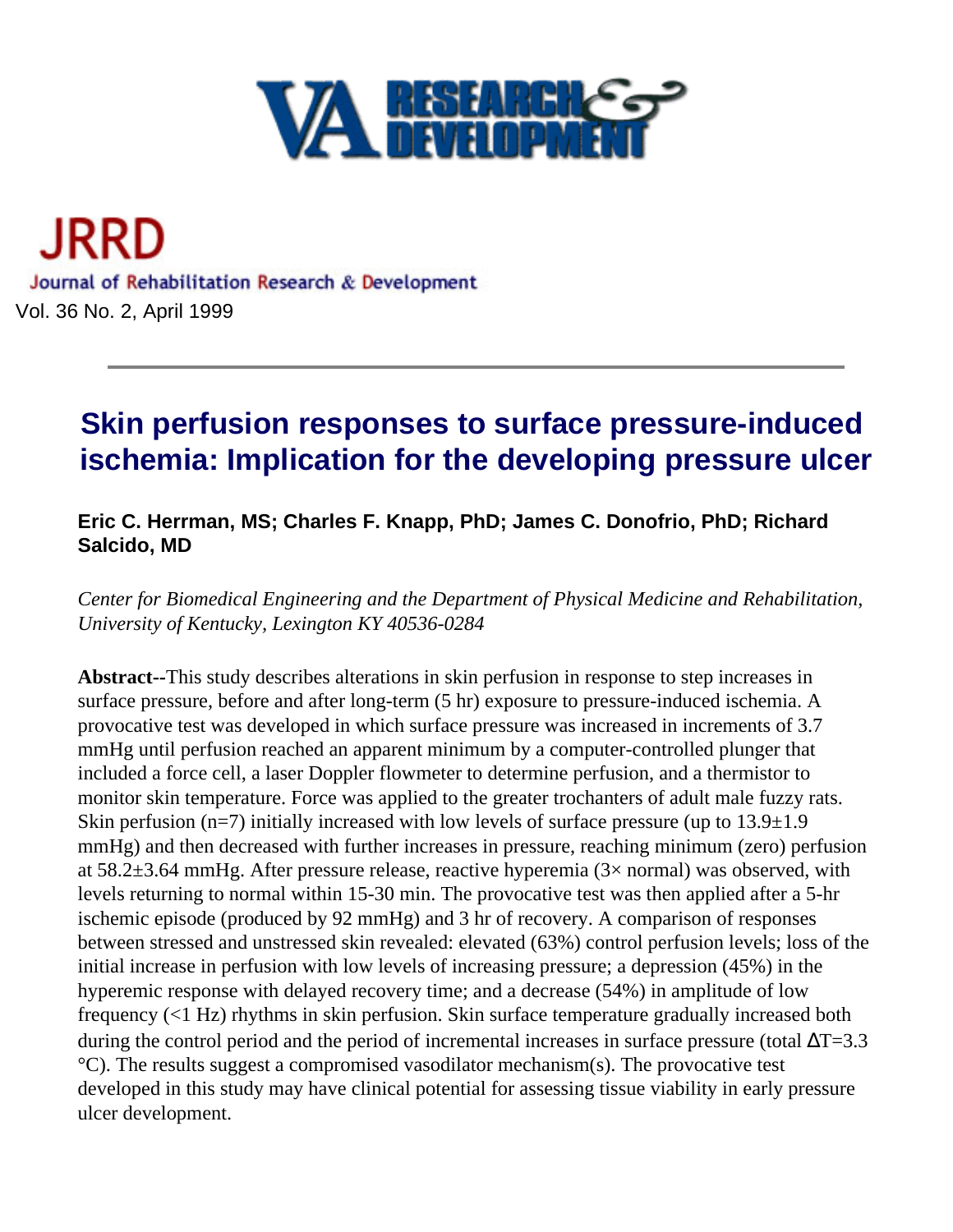

<span id="page-0-0"></span>JRRD Journal of Rehabilitation Research & Development Vol. 36 No. 2, April 1999

# **Skin perfusion responses to surface pressure-induced ischemia: Implication for the developing pressure ulcer**

# **Eric C. Herrman, MS; Charles F. Knapp, PhD; James C. Donofrio, PhD; Richard Salcido, MD**

*Center for Biomedical Engineering and the Department of Physical Medicine and Rehabilitation, University of Kentucky, Lexington KY 40536-0284*

**Abstract--**This study describes alterations in skin perfusion in response to step increases in surface pressure, before and after long-term (5 hr) exposure to pressure-induced ischemia. A provocative test was developed in which surface pressure was increased in increments of 3.7 mmHg until perfusion reached an apparent minimum by a computer-controlled plunger that included a force cell, a laser Doppler flowmeter to determine perfusion, and a thermistor to monitor skin temperature. Force was applied to the greater trochanters of adult male fuzzy rats. Skin perfusion (n=7) initially increased with low levels of surface pressure (up to  $13.9\pm1.9$ ) mmHg) and then decreased with further increases in pressure, reaching minimum (zero) perfusion at  $58.2 \pm 3.64$  mmHg. After pressure release, reactive hyperemia (3× normal) was observed, with levels returning to normal within 15-30 min. The provocative test was then applied after a 5-hr ischemic episode (produced by 92 mmHg) and 3 hr of recovery. A comparison of responses between stressed and unstressed skin revealed: elevated (63%) control perfusion levels; loss of the initial increase in perfusion with low levels of increasing pressure; a depression (45%) in the hyperemic response with delayed recovery time; and a decrease (54%) in amplitude of low frequency (<1 Hz) rhythms in skin perfusion. Skin surface temperature gradually increased both during the control period and the period of incremental increases in surface pressure (total  $\Delta T$ =3.3 °C). The results suggest a compromised vasodilator mechanism(s). The provocative test developed in this study may have clinical potential for assessing tissue viability in early pressure ulcer development.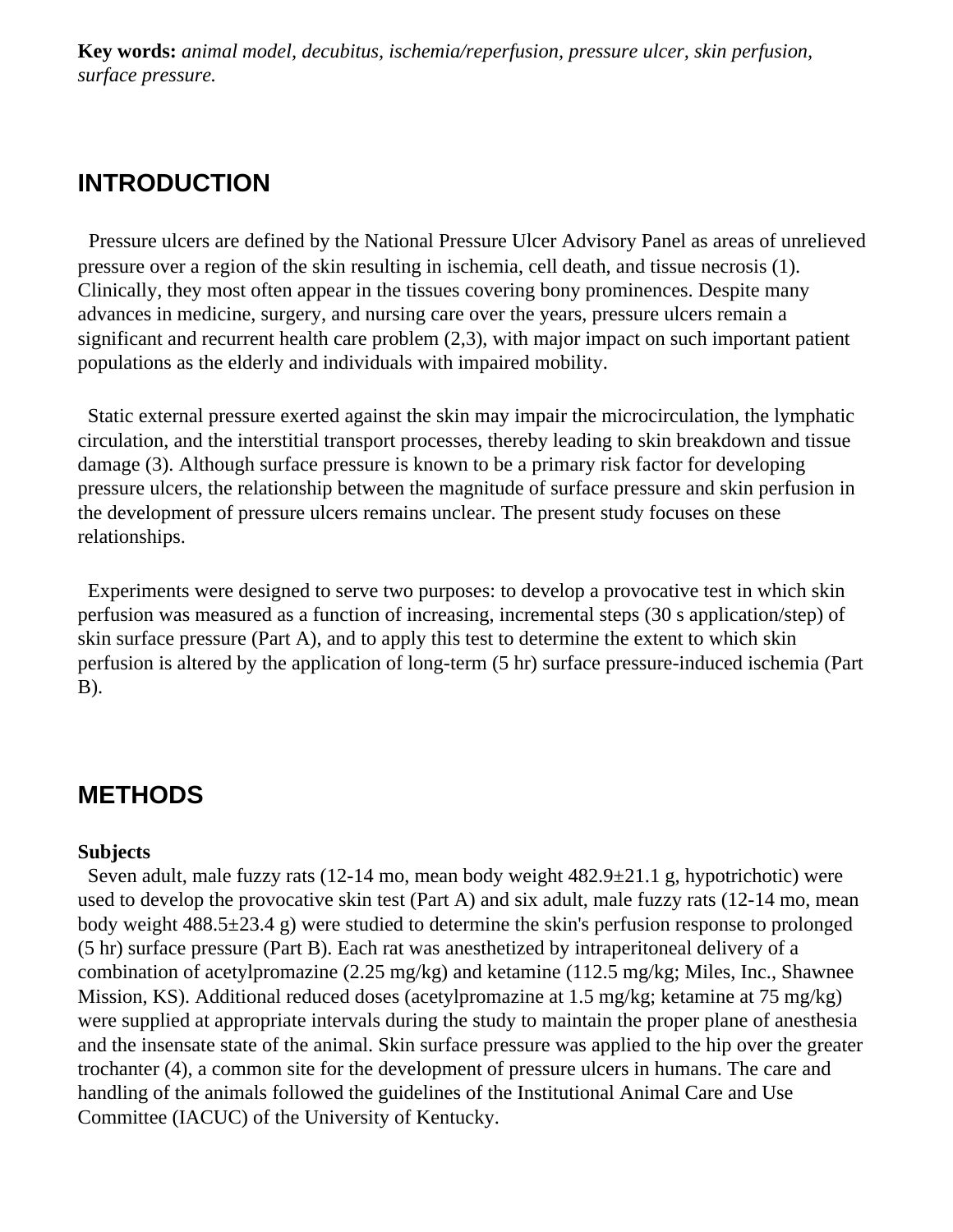**Key words:** *animal model, decubitus, ischemia/reperfusion, pressure ulcer, skin perfusion, surface pressure.*

# **INTRODUCTION**

 Pressure ulcers are defined by the National Pressure Ulcer Advisory Panel as areas of unrelieved pressure over a region of the skin resulting in ischemia, cell death, and tissue necrosis (1). Clinically, they most often appear in the tissues covering bony prominences. Despite many advances in medicine, surgery, and nursing care over the years, pressure ulcers remain a significant and recurrent health care problem (2,3), with major impact on such important patient populations as the elderly and individuals with impaired mobility.

 Static external pressure exerted against the skin may impair the microcirculation, the lymphatic circulation, and the interstitial transport processes, thereby leading to skin breakdown and tissue damage (3). Although surface pressure is known to be a primary risk factor for developing pressure ulcers, the relationship between the magnitude of surface pressure and skin perfusion in the development of pressure ulcers remains unclear. The present study focuses on these relationships.

 Experiments were designed to serve two purposes: to develop a provocative test in which skin perfusion was measured as a function of increasing, incremental steps (30 s application/step) of skin surface pressure (Part A), and to apply this test to determine the extent to which skin perfusion is altered by the application of long-term (5 hr) surface pressure-induced ischemia (Part B).

# **METHODS**

#### **Subjects**

 Seven adult, male fuzzy rats (12-14 mo, mean body weight 482.9±21.1 g, hypotrichotic) were used to develop the provocative skin test (Part A) and six adult, male fuzzy rats (12-14 mo, mean body weight 488.5±23.4 g) were studied to determine the skin's perfusion response to prolonged (5 hr) surface pressure (Part B). Each rat was anesthetized by intraperitoneal delivery of a combination of acetylpromazine (2.25 mg/kg) and ketamine (112.5 mg/kg; Miles, Inc., Shawnee Mission, KS). Additional reduced doses (acetylpromazine at 1.5 mg/kg; ketamine at 75 mg/kg) were supplied at appropriate intervals during the study to maintain the proper plane of anesthesia and the insensate state of the animal. Skin surface pressure was applied to the hip over the greater trochanter (4), a common site for the development of pressure ulcers in humans. The care and handling of the animals followed the guidelines of the Institutional Animal Care and Use Committee (IACUC) of the University of Kentucky.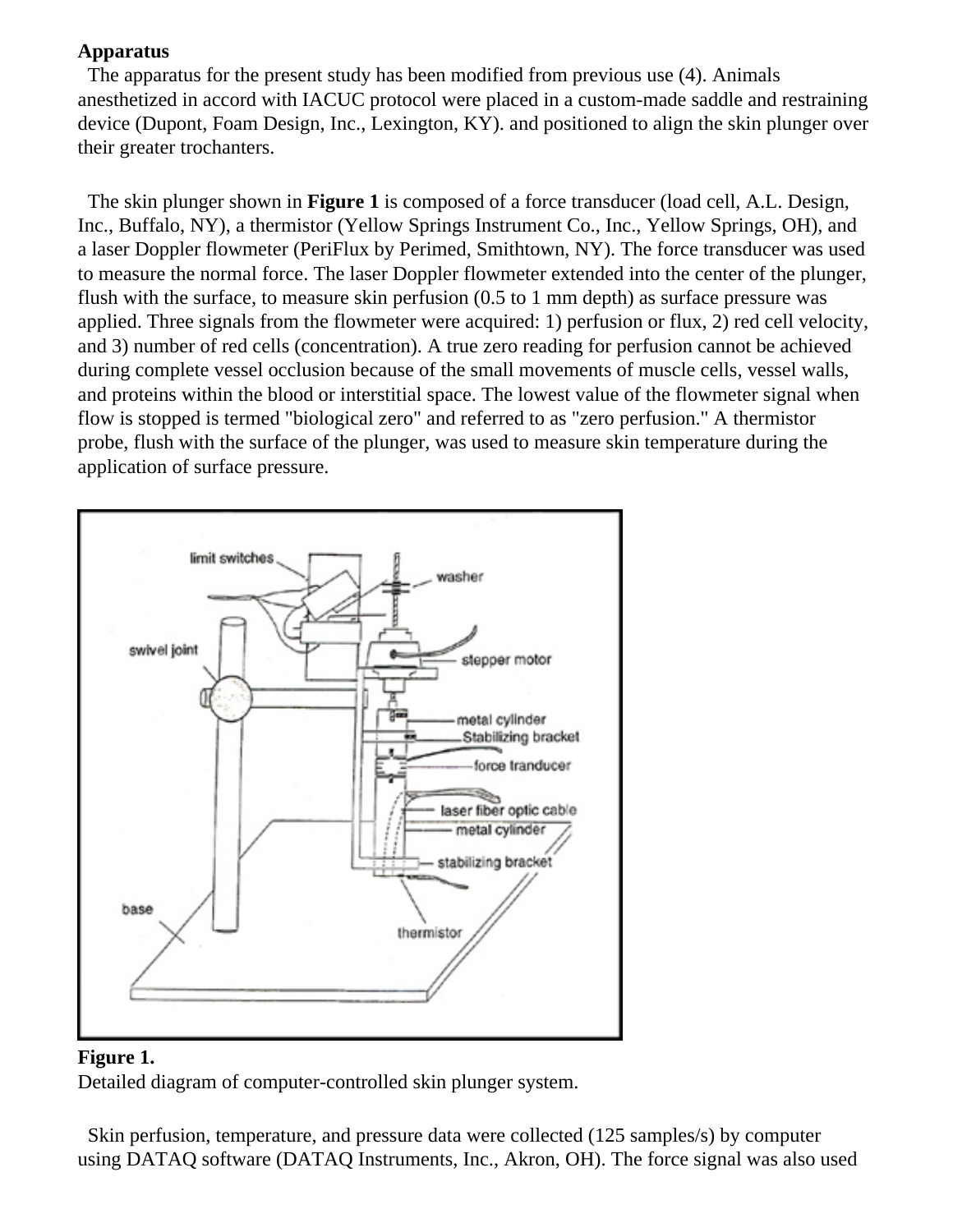## **Apparatus**

 The apparatus for the present study has been modified from previous use (4). Animals anesthetized in accord with IACUC protocol were placed in a custom-made saddle and restraining device (Dupont, Foam Design, Inc., Lexington, KY). and positioned to align the skin plunger over their greater trochanters.

 The skin plunger shown in **Figure 1** is composed of a force transducer (load cell, A.L. Design, Inc., Buffalo, NY), a thermistor (Yellow Springs Instrument Co., Inc., Yellow Springs, OH), and a laser Doppler flowmeter (PeriFlux by Perimed, Smithtown, NY). The force transducer was used to measure the normal force. The laser Doppler flowmeter extended into the center of the plunger, flush with the surface, to measure skin perfusion (0.5 to 1 mm depth) as surface pressure was applied. Three signals from the flowmeter were acquired: 1) perfusion or flux, 2) red cell velocity, and 3) number of red cells (concentration). A true zero reading for perfusion cannot be achieved during complete vessel occlusion because of the small movements of muscle cells, vessel walls, and proteins within the blood or interstitial space. The lowest value of the flowmeter signal when flow is stopped is termed "biological zero" and referred to as "zero perfusion." A thermistor probe, flush with the surface of the plunger, was used to measure skin temperature during the application of surface pressure.



### **Figure 1.**

Detailed diagram of computer-controlled skin plunger system.

 Skin perfusion, temperature, and pressure data were collected (125 samples/s) by computer using DATAQ software (DATAQ Instruments, Inc., Akron, OH). The force signal was also used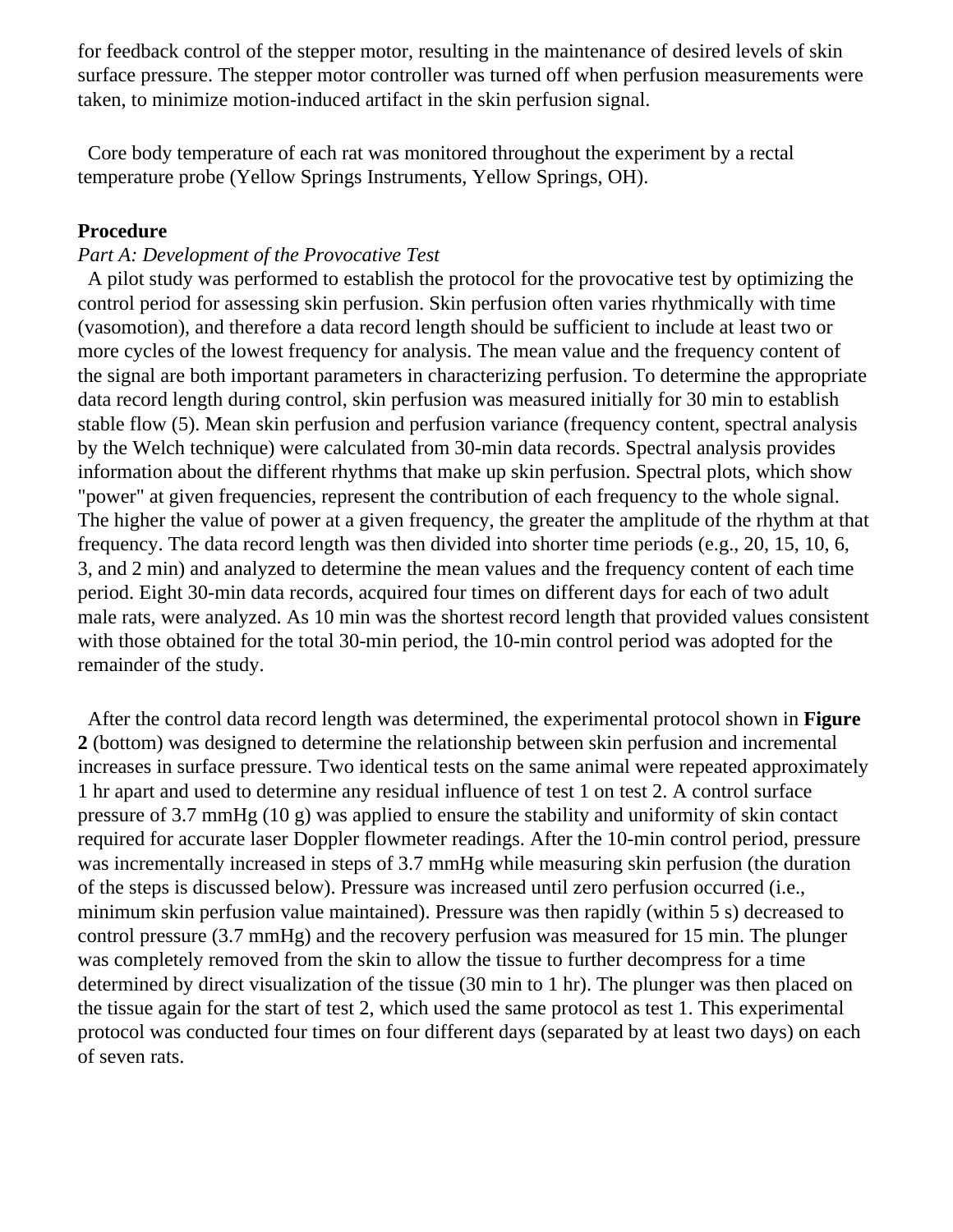for feedback control of the stepper motor, resulting in the maintenance of desired levels of skin surface pressure. The stepper motor controller was turned off when perfusion measurements were taken, to minimize motion-induced artifact in the skin perfusion signal.

 Core body temperature of each rat was monitored throughout the experiment by a rectal temperature probe (Yellow Springs Instruments, Yellow Springs, OH).

#### **Procedure**

#### *Part A: Development of the Provocative Test*

 A pilot study was performed to establish the protocol for the provocative test by optimizing the control period for assessing skin perfusion. Skin perfusion often varies rhythmically with time (vasomotion), and therefore a data record length should be sufficient to include at least two or more cycles of the lowest frequency for analysis. The mean value and the frequency content of the signal are both important parameters in characterizing perfusion. To determine the appropriate data record length during control, skin perfusion was measured initially for 30 min to establish stable flow (5). Mean skin perfusion and perfusion variance (frequency content, spectral analysis by the Welch technique) were calculated from 30-min data records. Spectral analysis provides information about the different rhythms that make up skin perfusion. Spectral plots, which show "power" at given frequencies, represent the contribution of each frequency to the whole signal. The higher the value of power at a given frequency, the greater the amplitude of the rhythm at that frequency. The data record length was then divided into shorter time periods (e.g., 20, 15, 10, 6, 3, and 2 min) and analyzed to determine the mean values and the frequency content of each time period. Eight 30-min data records, acquired four times on different days for each of two adult male rats, were analyzed. As 10 min was the shortest record length that provided values consistent with those obtained for the total 30-min period, the 10-min control period was adopted for the remainder of the study.

 After the control data record length was determined, the experimental protocol shown in **Figure 2** (bottom) was designed to determine the relationship between skin perfusion and incremental increases in surface pressure. Two identical tests on the same animal were repeated approximately 1 hr apart and used to determine any residual influence of test 1 on test 2. A control surface pressure of 3.7 mmHg (10 g) was applied to ensure the stability and uniformity of skin contact required for accurate laser Doppler flowmeter readings. After the 10-min control period, pressure was incrementally increased in steps of 3.7 mmHg while measuring skin perfusion (the duration of the steps is discussed below). Pressure was increased until zero perfusion occurred (i.e., minimum skin perfusion value maintained). Pressure was then rapidly (within 5 s) decreased to control pressure (3.7 mmHg) and the recovery perfusion was measured for 15 min. The plunger was completely removed from the skin to allow the tissue to further decompress for a time determined by direct visualization of the tissue (30 min to 1 hr). The plunger was then placed on the tissue again for the start of test 2, which used the same protocol as test 1. This experimental protocol was conducted four times on four different days (separated by at least two days) on each of seven rats.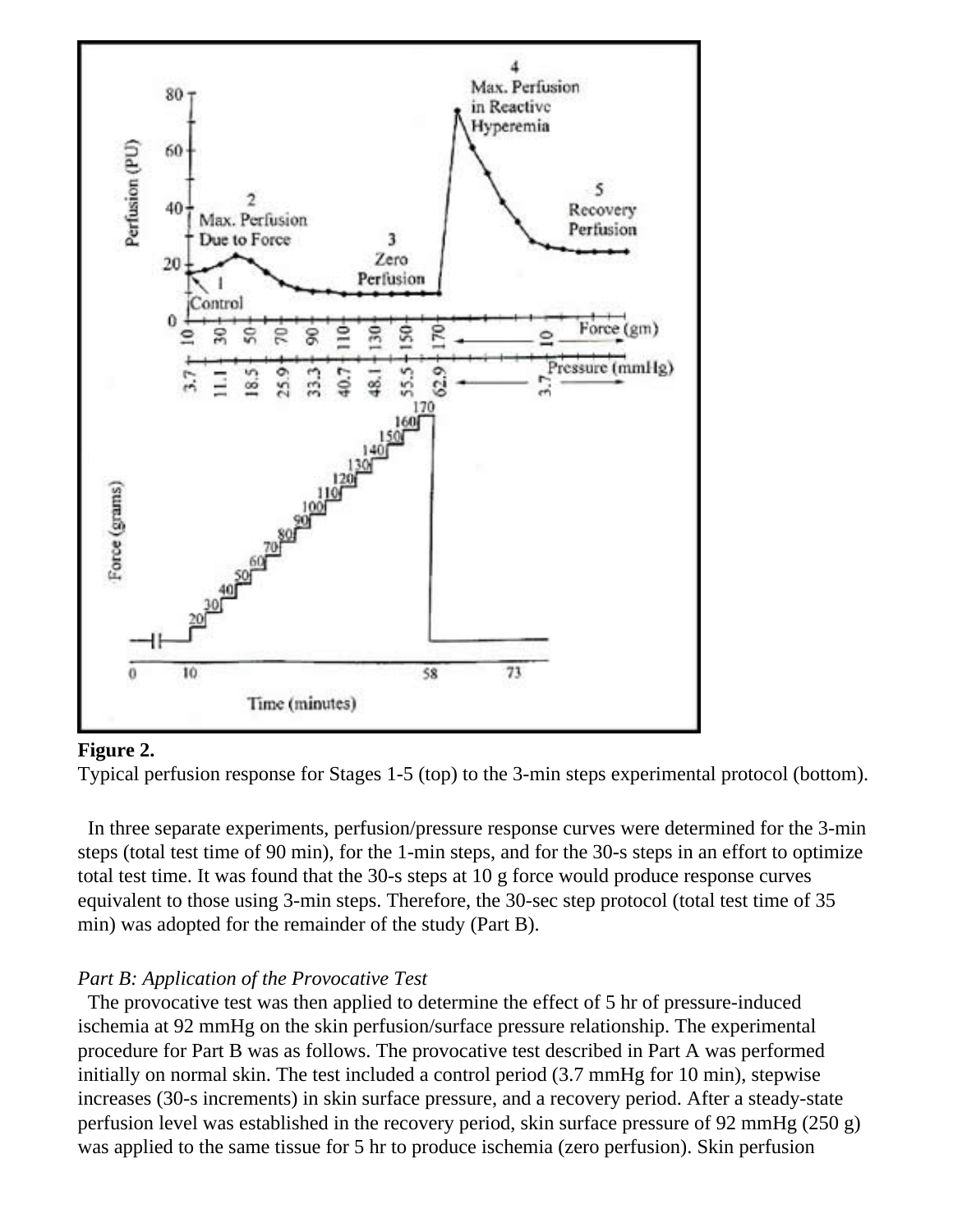

#### **Figure 2.**

Typical perfusion response for Stages 1-5 (top) to the 3-min steps experimental protocol (bottom).

 In three separate experiments, perfusion/pressure response curves were determined for the 3-min steps (total test time of 90 min), for the 1-min steps, and for the 30-s steps in an effort to optimize total test time. It was found that the 30-s steps at 10 g force would produce response curves equivalent to those using 3-min steps. Therefore, the 30-sec step protocol (total test time of 35 min) was adopted for the remainder of the study (Part B).

#### *Part B: Application of the Provocative Test*

 The provocative test was then applied to determine the effect of 5 hr of pressure-induced ischemia at 92 mmHg on the skin perfusion/surface pressure relationship. The experimental procedure for Part B was as follows. The provocative test described in Part A was performed initially on normal skin. The test included a control period  $(3.7 \text{ mmHg}$  for 10 min), stepwise increases (30-s increments) in skin surface pressure, and a recovery period. After a steady-state perfusion level was established in the recovery period, skin surface pressure of 92 mmHg (250 g) was applied to the same tissue for 5 hr to produce ischemia (zero perfusion). Skin perfusion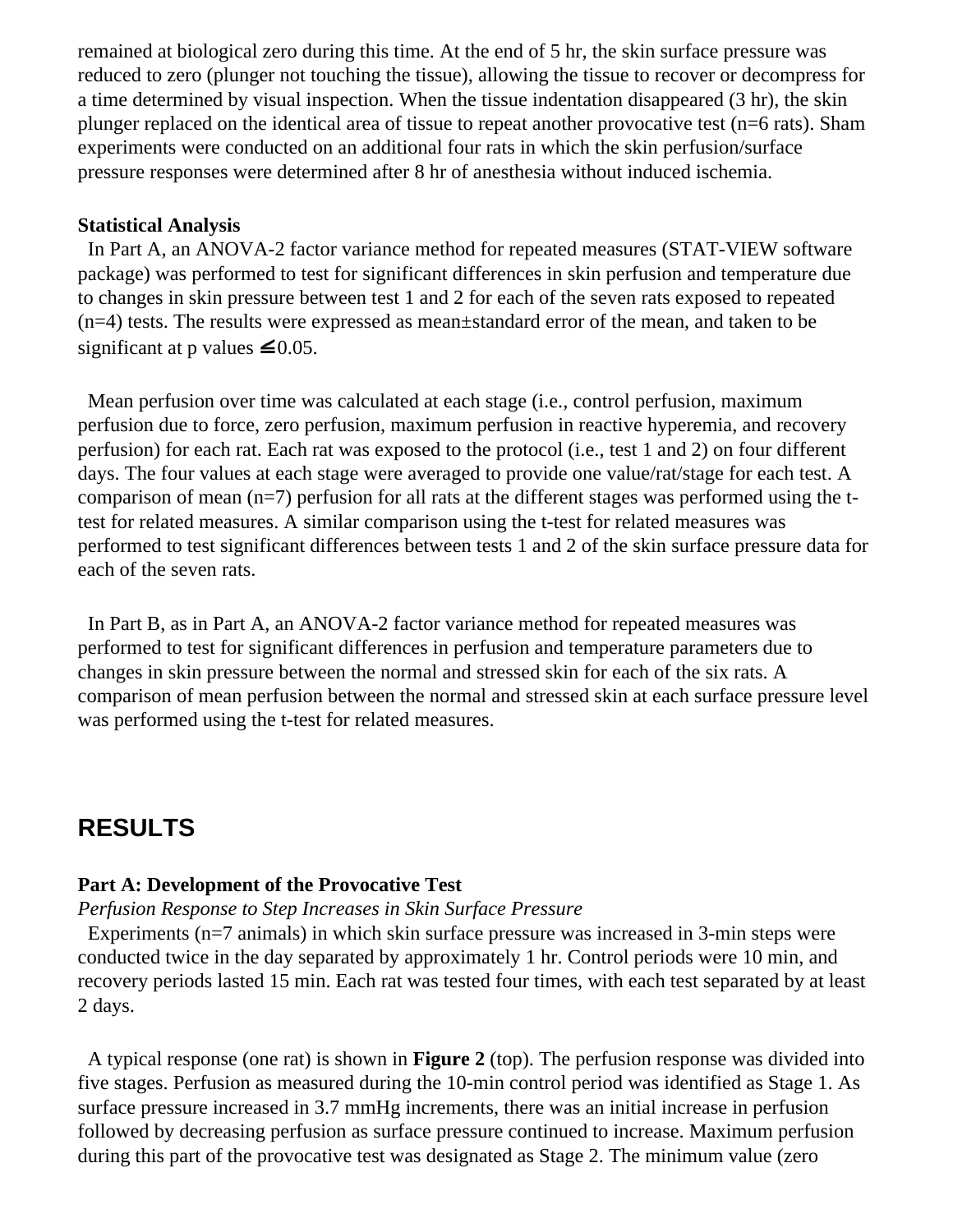remained at biological zero during this time. At the end of 5 hr, the skin surface pressure was reduced to zero (plunger not touching the tissue), allowing the tissue to recover or decompress for a time determined by visual inspection. When the tissue indentation disappeared (3 hr), the skin plunger replaced on the identical area of tissue to repeat another provocative test (n=6 rats). Sham experiments were conducted on an additional four rats in which the skin perfusion/surface pressure responses were determined after 8 hr of anesthesia without induced ischemia.

#### **Statistical Analysis**

 In Part A, an ANOVA-2 factor variance method for repeated measures (STAT-VIEW software package) was performed to test for significant differences in skin perfusion and temperature due to changes in skin pressure between test 1 and 2 for each of the seven rats exposed to repeated (n=4) tests. The results were expressed as mean±standard error of the mean, and taken to be significantat p values  $\leq 0.05$ .

 Mean perfusion over time was calculated at each stage (i.e., control perfusion, maximum perfusion due to force, zero perfusion, maximum perfusion in reactive hyperemia, and recovery perfusion) for each rat. Each rat was exposed to the protocol (i.e., test 1 and 2) on four different days. The four values at each stage were averaged to provide one value/rat/stage for each test. A comparison of mean (n=7) perfusion for all rats at the different stages was performed using the ttest for related measures. A similar comparison using the t-test for related measures was performed to test significant differences between tests 1 and 2 of the skin surface pressure data for each of the seven rats.

 In Part B, as in Part A, an ANOVA-2 factor variance method for repeated measures was performed to test for significant differences in perfusion and temperature parameters due to changes in skin pressure between the normal and stressed skin for each of the six rats. A comparison of mean perfusion between the normal and stressed skin at each surface pressure level was performed using the t-test for related measures.

# **RESULTS**

#### **Part A: Development of the Provocative Test**

#### *Perfusion Response to Step Increases in Skin Surface Pressure*

 Experiments (n=7 animals) in which skin surface pressure was increased in 3-min steps were conducted twice in the day separated by approximately 1 hr. Control periods were 10 min, and recovery periods lasted 15 min. Each rat was tested four times, with each test separated by at least 2 days.

 A typical response (one rat) is shown in **Figure 2** (top). The perfusion response was divided into five stages. Perfusion as measured during the 10-min control period was identified as Stage 1. As surface pressure increased in 3.7 mmHg increments, there was an initial increase in perfusion followed by decreasing perfusion as surface pressure continued to increase. Maximum perfusion during this part of the provocative test was designated as Stage 2. The minimum value (zero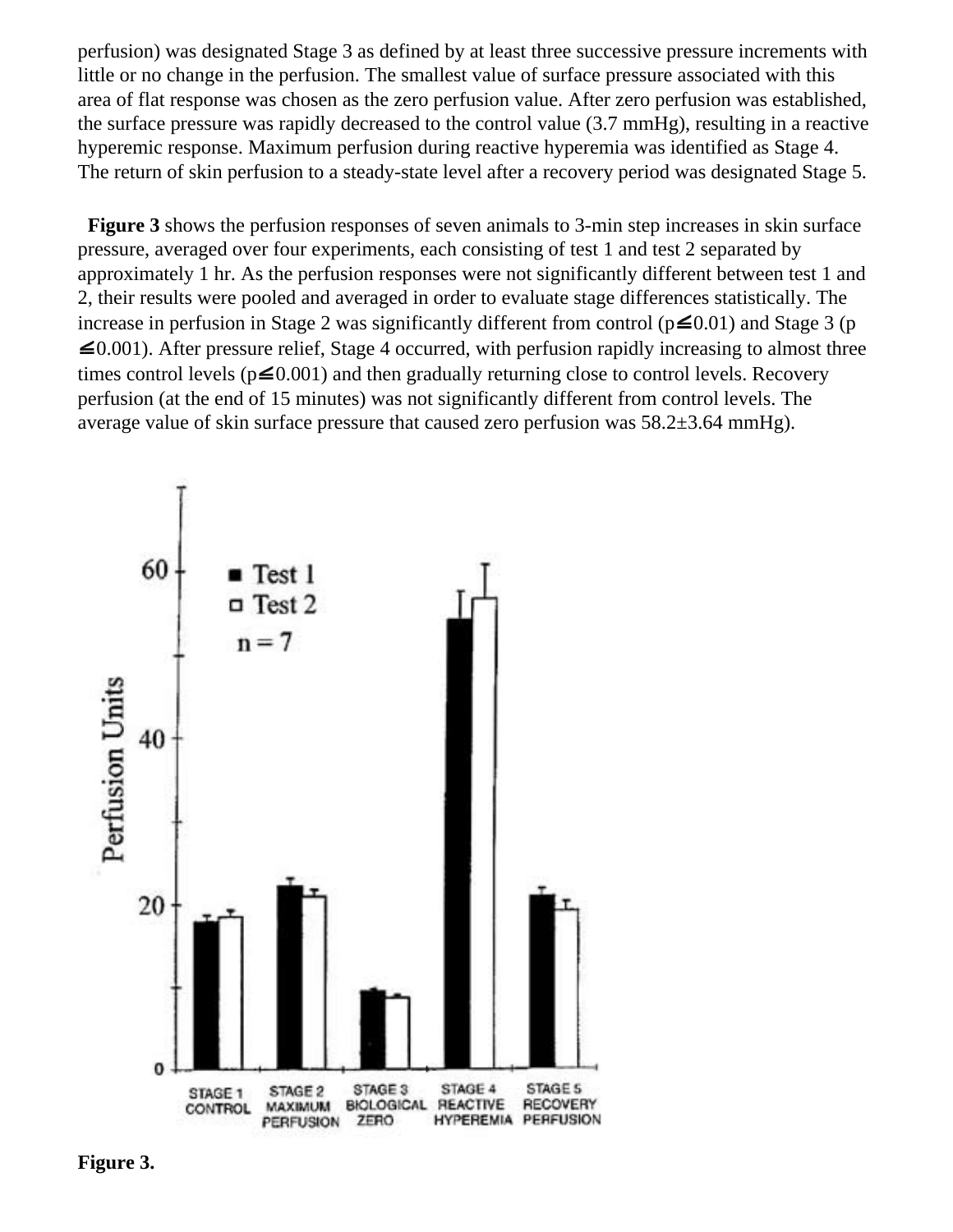perfusion) was designated Stage 3 as defined by at least three successive pressure increments with little or no change in the perfusion. The smallest value of surface pressure associated with this area of flat response was chosen as the zero perfusion value. After zero perfusion was established, the surface pressure was rapidly decreased to the control value (3.7 mmHg), resulting in a reactive hyperemic response. Maximum perfusion during reactive hyperemia was identified as Stage 4. The return of skin perfusion to a steady-state level after a recovery period was designated Stage 5.

 **Figure 3** shows the perfusion responses of seven animals to 3-min step increases in skin surface pressure, averaged over four experiments, each consisting of test 1 and test 2 separated by approximately 1 hr. As the perfusion responses were not significantly different between test 1 and 2, their results were pooled and averaged in order to evaluate stage differences statistically. The increase in perfusion in Stage 2 was significantly different from control ( $p \le 0.01$  $p \le 0.01$  $p \le 0.01$ ) and Stage 3 (p  $\leq 0.001$ ). After pressure relief, Stage 4 occurred, with perfusion rapidly increasing to almost three times control levels ( $p \le 0.001$  $p \le 0.001$ ) and then gradually returning close to control levels. Recovery perfusion (at the end of 15 minutes) was not significantly different from control levels. The average value of skin surface pressure that caused zero perfusion was 58.2±3.64 mmHg).



**Figure 3.**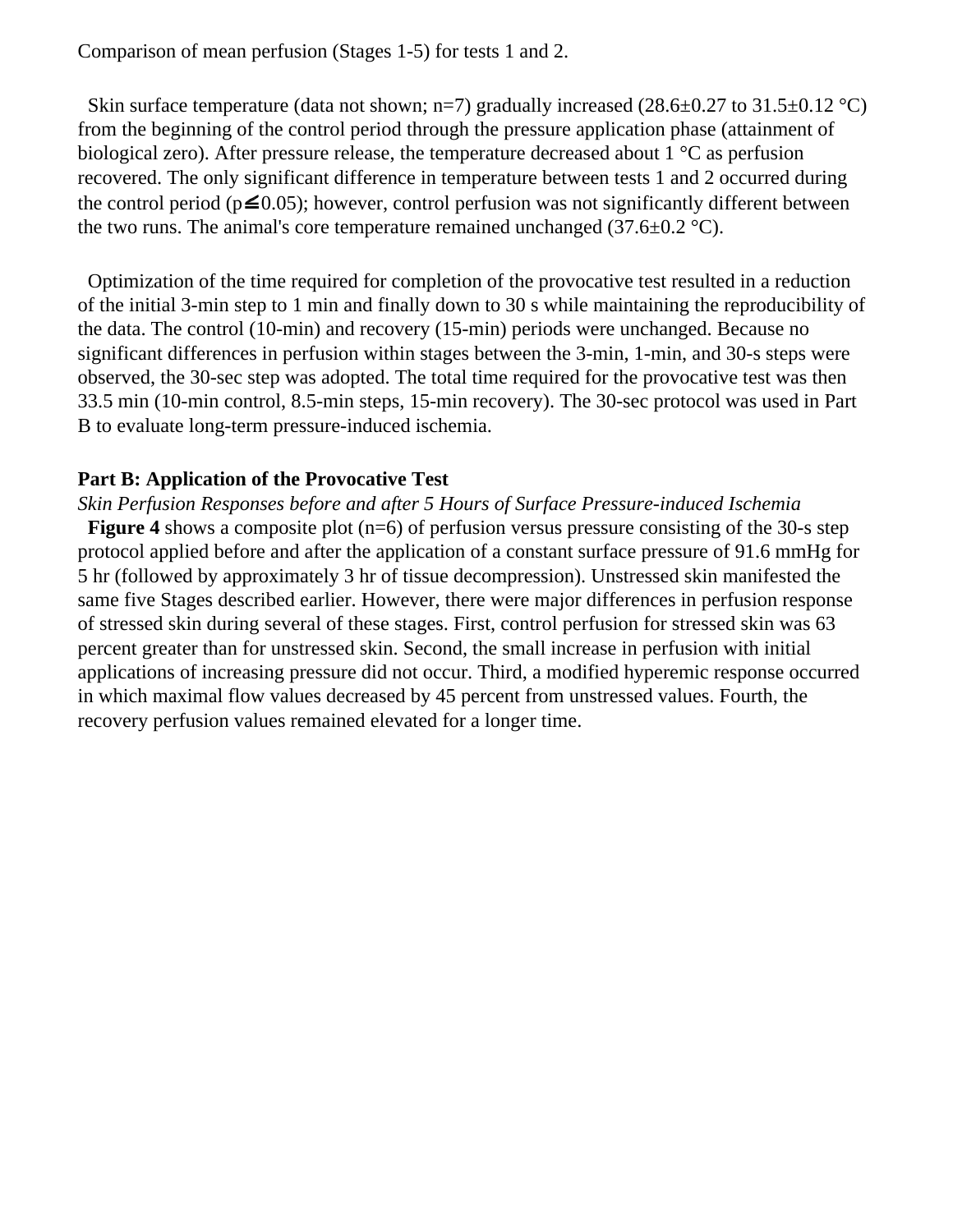Comparison of mean perfusion (Stages 1-5) for tests 1 and 2.

Skin surface temperature (data not shown; n=7) gradually increased (28.6 $\pm$ 0.27 to 31.5 $\pm$ 0.12 °C) from the beginning of the control period through the pressure application phase (attainment of biological zero). After pressure release, the temperature decreased about 1 °C as perfusion recovered. The only significant difference in temperature between tests 1 and 2 occurred during the control period ( $p \le 0.05$  $p \le 0.05$  $p \le 0.05$ ); however, control perfusion was not significantly different between the two runs. The animal's core temperature remained unchanged (37.6 $\pm$ 0.2 °C).

 Optimization of the time required for completion of the provocative test resulted in a reduction of the initial 3-min step to 1 min and finally down to 30 s while maintaining the reproducibility of the data. The control (10-min) and recovery (15-min) periods were unchanged. Because no significant differences in perfusion within stages between the 3-min, 1-min, and 30-s steps were observed, the 30-sec step was adopted. The total time required for the provocative test was then 33.5 min (10-min control, 8.5-min steps, 15-min recovery). The 30-sec protocol was used in Part B to evaluate long-term pressure-induced ischemia.

### **Part B: Application of the Provocative Test**

*Skin Perfusion Responses before and after 5 Hours of Surface Pressure-induced Ischemia* **Figure 4** shows a composite plot (n=6) of perfusion versus pressure consisting of the 30-s step protocol applied before and after the application of a constant surface pressure of 91.6 mmHg for 5 hr (followed by approximately 3 hr of tissue decompression). Unstressed skin manifested the same five Stages described earlier. However, there were major differences in perfusion response of stressed skin during several of these stages. First, control perfusion for stressed skin was 63 percent greater than for unstressed skin. Second, the small increase in perfusion with initial applications of increasing pressure did not occur. Third, a modified hyperemic response occurred in which maximal flow values decreased by 45 percent from unstressed values. Fourth, the recovery perfusion values remained elevated for a longer time.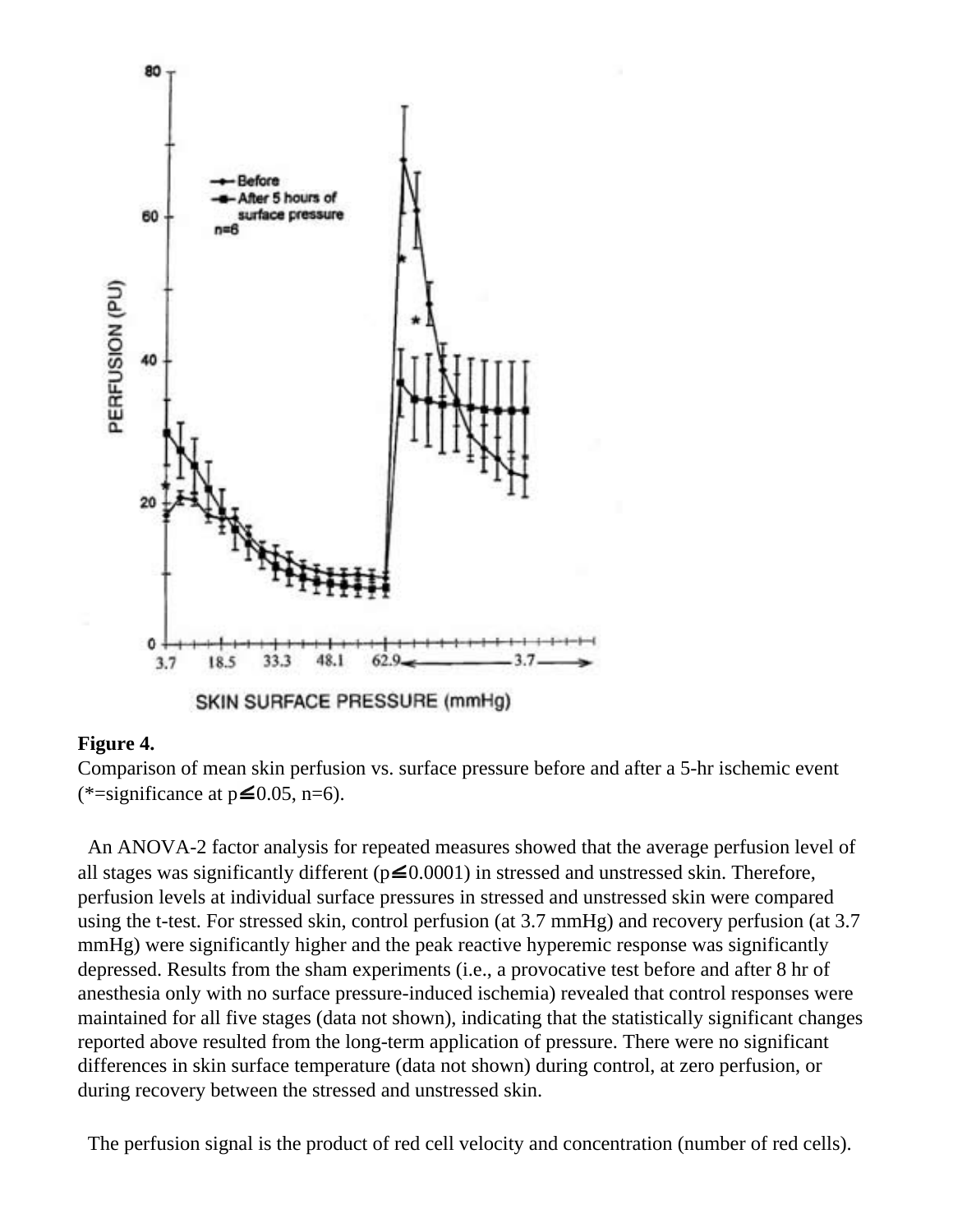

#### **Figure 4.**

Comparison of mean skin perfusion vs. surface pressure before and after a 5-hr ischemic event (\*=significance at  $p \le 0.05$  $p \le 0.05$  $p \le 0.05$ , n=6).

 An ANOVA-2 factor analysis for repeated measures showed that the average perfusion level of all stages was significantly different ( $p \le 0.0001$  $p \le 0.0001$  $p \le 0.0001$ ) in stressed and unstressed skin. Therefore, perfusion levels at individual surface pressures in stressed and unstressed skin were compared using the t-test. For stressed skin, control perfusion (at 3.7 mmHg) and recovery perfusion (at 3.7 mmHg) were significantly higher and the peak reactive hyperemic response was significantly depressed. Results from the sham experiments (i.e., a provocative test before and after 8 hr of anesthesia only with no surface pressure-induced ischemia) revealed that control responses were maintained for all five stages (data not shown), indicating that the statistically significant changes reported above resulted from the long-term application of pressure. There were no significant differences in skin surface temperature (data not shown) during control, at zero perfusion, or during recovery between the stressed and unstressed skin.

The perfusion signal is the product of red cell velocity and concentration (number of red cells).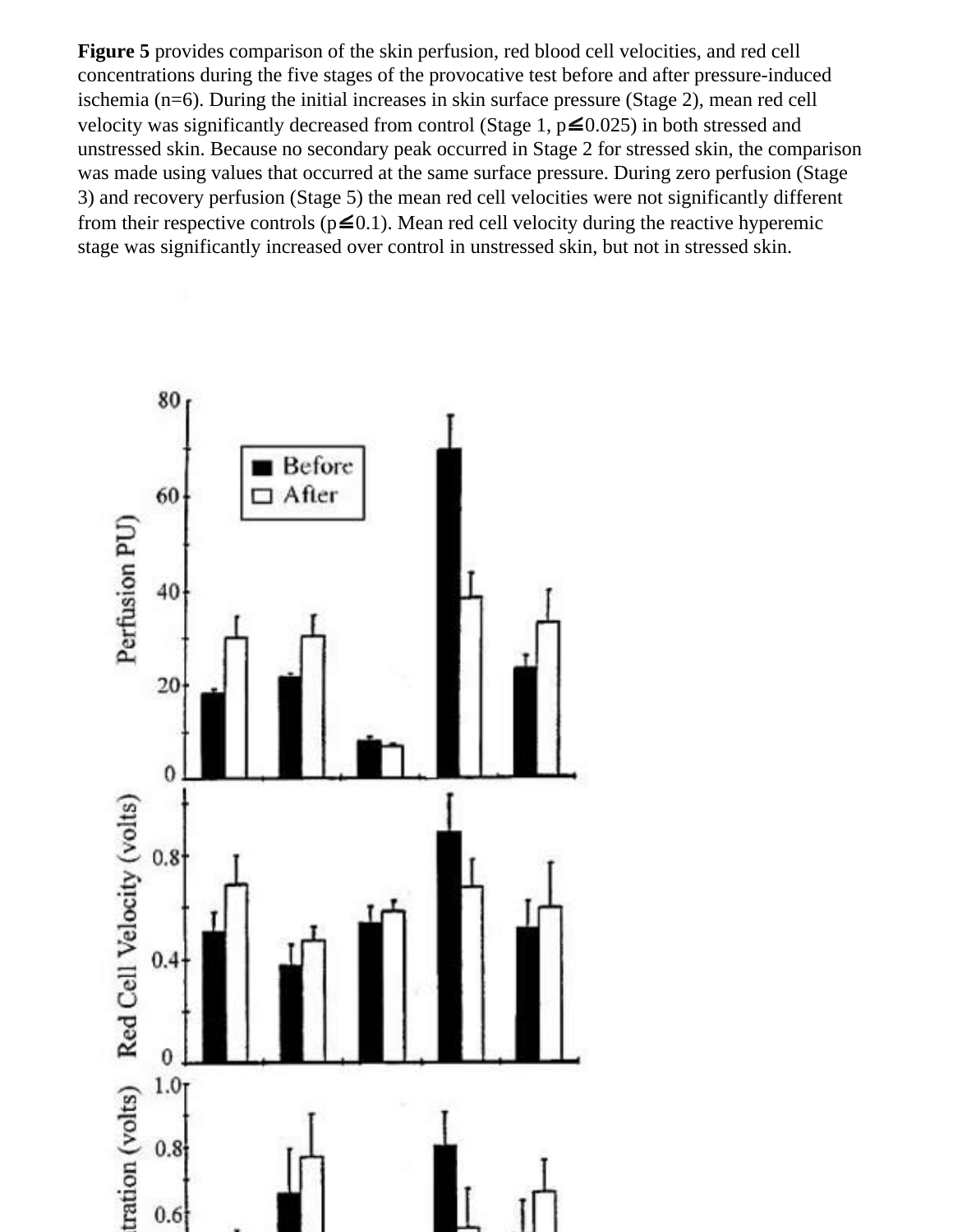**Figure 5** provides comparison of the skin perfusion, red blood cell velocities, and red cell concentrations during the five stages of the provocative test before and after pressure-induced ischemia (n=6). During the initial increases in skin surface pressure (Stage 2), mean red cell velocity was significantly decreased from control (Stage 1,  $p \le 0.025$  $p \le 0.025$ ) in both stressed and unstressed skin. Because no secondary peak occurred in Stage 2 for stressed skin, the comparison was made using values that occurred at the same surface pressure. During zero perfusion (Stage 3) and recovery perfusion (Stage 5) the mean red cell velocities were not significantly different from their respective controls ( $p \le 0.1$  $p \le 0.1$  $p \le 0.1$ ). Mean red cell velocity during the reactive hyperemic stage was significantly increased over control in unstressed skin, but not in stressed skin.

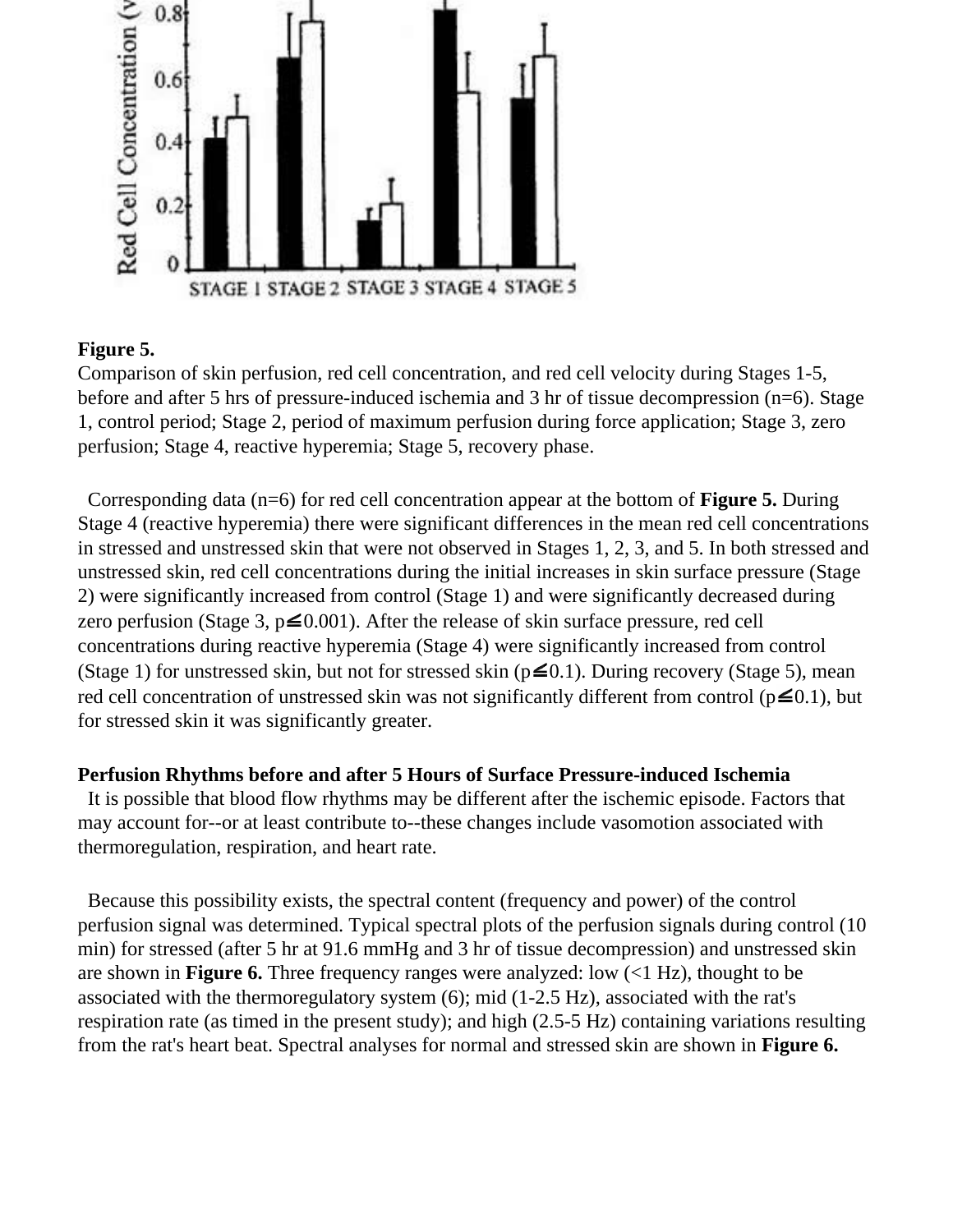

## **Figure 5.**

Comparison of skin perfusion, red cell concentration, and red cell velocity during Stages 1-5, before and after 5 hrs of pressure-induced ischemia and 3 hr of tissue decompression (n=6). Stage 1, control period; Stage 2, period of maximum perfusion during force application; Stage 3, zero perfusion; Stage 4, reactive hyperemia; Stage 5, recovery phase.

 Corresponding data (n=6) for red cell concentration appear at the bottom of **Figure 5.** During Stage 4 (reactive hyperemia) there were significant differences in the mean red cell concentrations in stressed and unstressed skin that were not observed in Stages 1, 2, 3, and 5. In both stressed and unstressed skin, red cell concentrations during the initial increases in skin surface pressure (Stage 2) were significantly increased from control (Stage 1) and were significantly decreased during zero [p](file:///C|/Journal/abstract%20work/99/36/2/leq.gif)erfusion (Stage 3,  $p \le 0.001$ ). After the release of skin surface pressure, red cell concentrations during reactive hyperemia (Stage 4) were significantly increased from control (Stage 1) for unstressed skin, but not for stressed skin ( $p \le 0.1$  $p \le 0.1$ ). During recovery (Stage 5), mean red cell concentration of unstressed skin was not significantly different from control ( $p \le 0.1$  $p \le 0.1$  $p \le 0.1$ ), but for stressed skin it was significantly greater.

### **Perfusion Rhythms before and after 5 Hours of Surface Pressure-induced Ischemia**

 It is possible that blood flow rhythms may be different after the ischemic episode. Factors that may account for--or at least contribute to--these changes include vasomotion associated with thermoregulation, respiration, and heart rate.

 Because this possibility exists, the spectral content (frequency and power) of the control perfusion signal was determined. Typical spectral plots of the perfusion signals during control (10 min) for stressed (after 5 hr at 91.6 mmHg and 3 hr of tissue decompression) and unstressed skin are shown in **Figure 6.** Three frequency ranges were analyzed: low (<1 Hz), thought to be associated with the thermoregulatory system (6); mid (1-2.5 Hz), associated with the rat's respiration rate (as timed in the present study); and high (2.5-5 Hz) containing variations resulting from the rat's heart beat. Spectral analyses for normal and stressed skin are shown in **Figure 6.**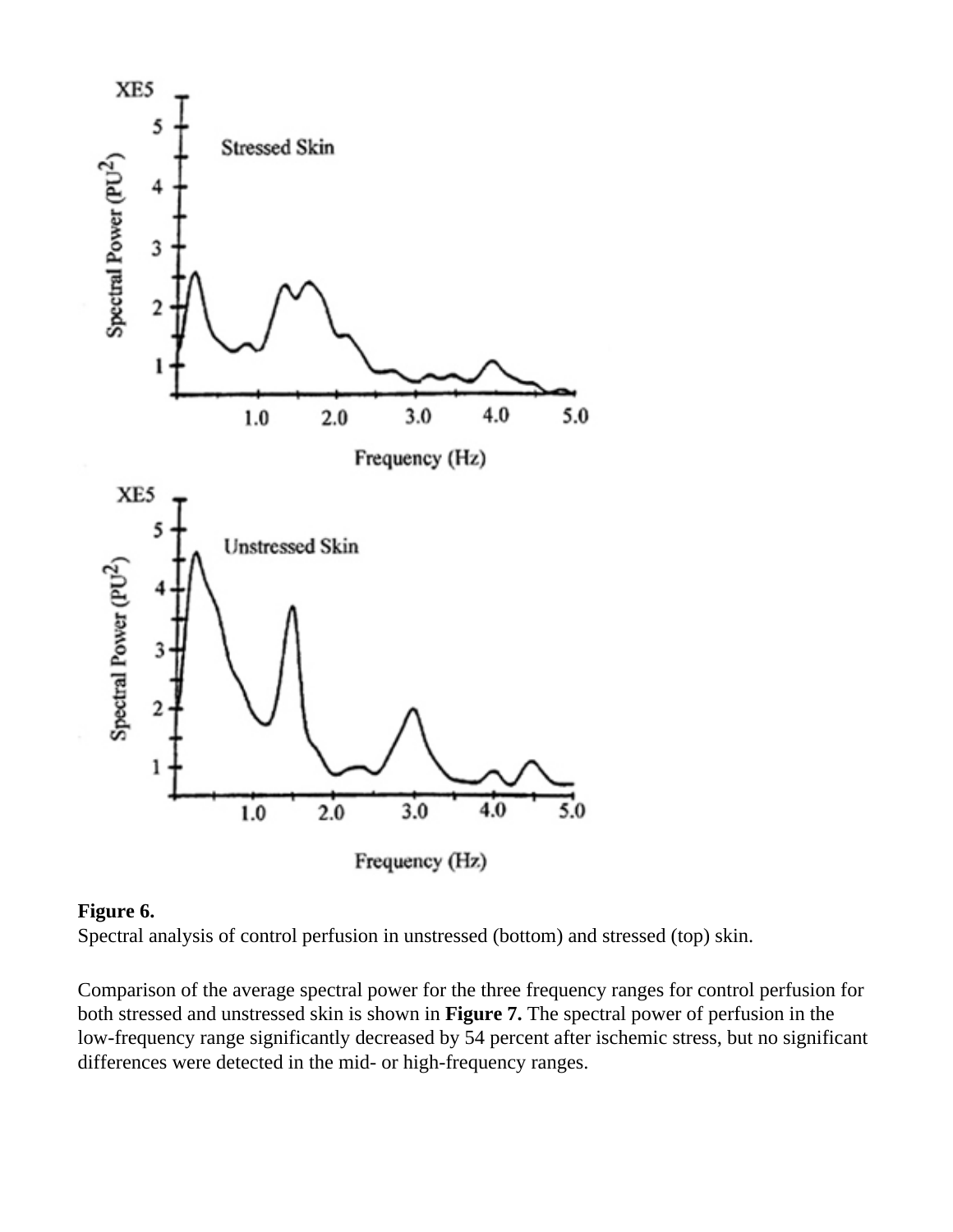

## **Figure 6.**

Spectral analysis of control perfusion in unstressed (bottom) and stressed (top) skin.

Comparison of the average spectral power for the three frequency ranges for control perfusion for both stressed and unstressed skin is shown in **Figure 7.** The spectral power of perfusion in the low-frequency range significantly decreased by 54 percent after ischemic stress, but no significant differences were detected in the mid- or high-frequency ranges.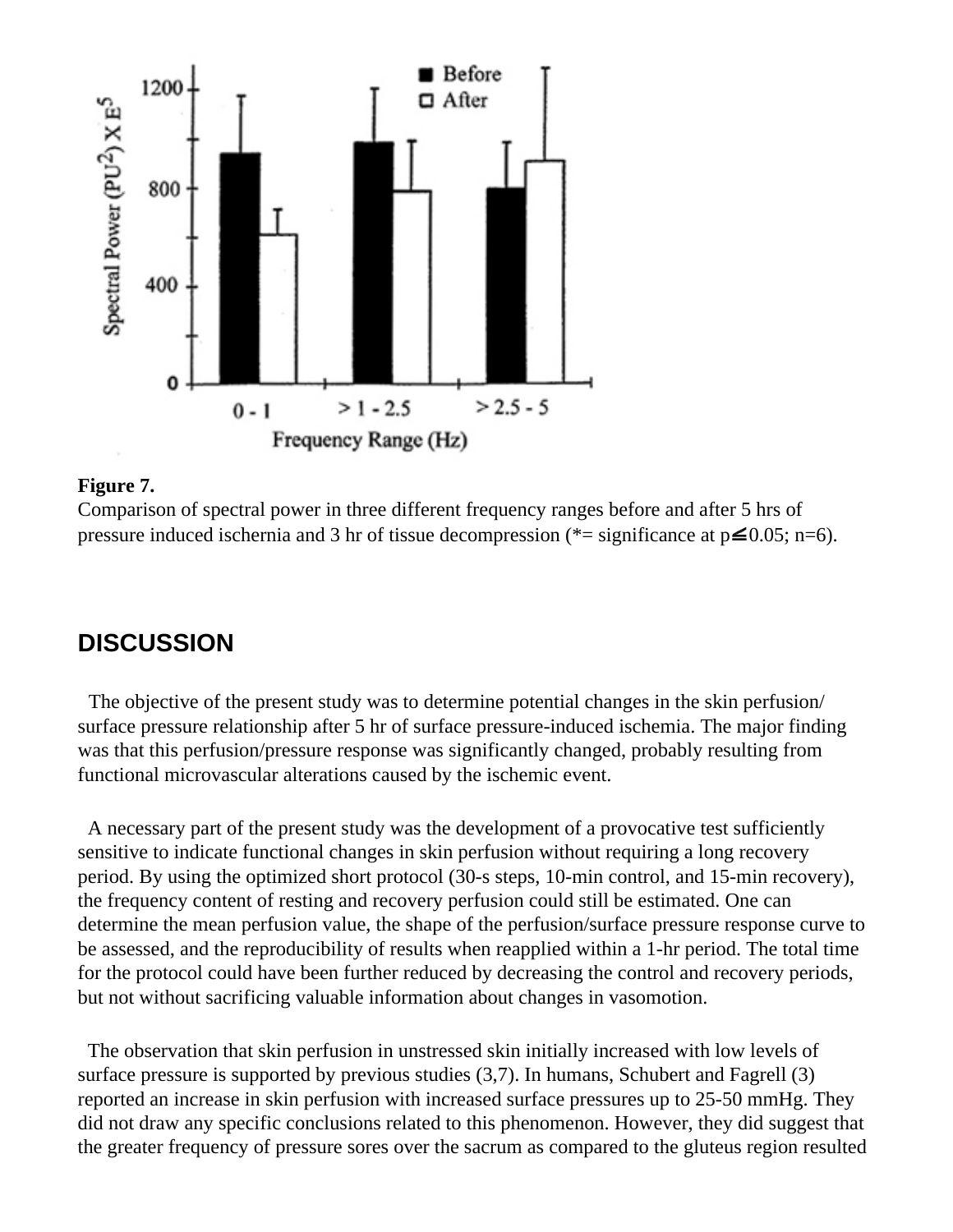

#### **Figure 7.**

Comparison of spectral power in three different frequency ranges before and after 5 hrs of [p](file:///C|/Journal/abstract%20work/99/36/2/leq.gif)ressure induced ischernia and 3 hr of tissue decompression (\*= significance at  $p\leq 0.05$ ; n=6).

# **DISCUSSION**

 The objective of the present study was to determine potential changes in the skin perfusion/ surface pressure relationship after 5 hr of surface pressure-induced ischemia. The major finding was that this perfusion/pressure response was significantly changed, probably resulting from functional microvascular alterations caused by the ischemic event.

 A necessary part of the present study was the development of a provocative test sufficiently sensitive to indicate functional changes in skin perfusion without requiring a long recovery period. By using the optimized short protocol (30-s steps, 10-min control, and 15-min recovery), the frequency content of resting and recovery perfusion could still be estimated. One can determine the mean perfusion value, the shape of the perfusion/surface pressure response curve to be assessed, and the reproducibility of results when reapplied within a 1-hr period. The total time for the protocol could have been further reduced by decreasing the control and recovery periods, but not without sacrificing valuable information about changes in vasomotion.

 The observation that skin perfusion in unstressed skin initially increased with low levels of surface pressure is supported by previous studies (3,7). In humans, Schubert and Fagrell (3) reported an increase in skin perfusion with increased surface pressures up to 25-50 mmHg. They did not draw any specific conclusions related to this phenomenon. However, they did suggest that the greater frequency of pressure sores over the sacrum as compared to the gluteus region resulted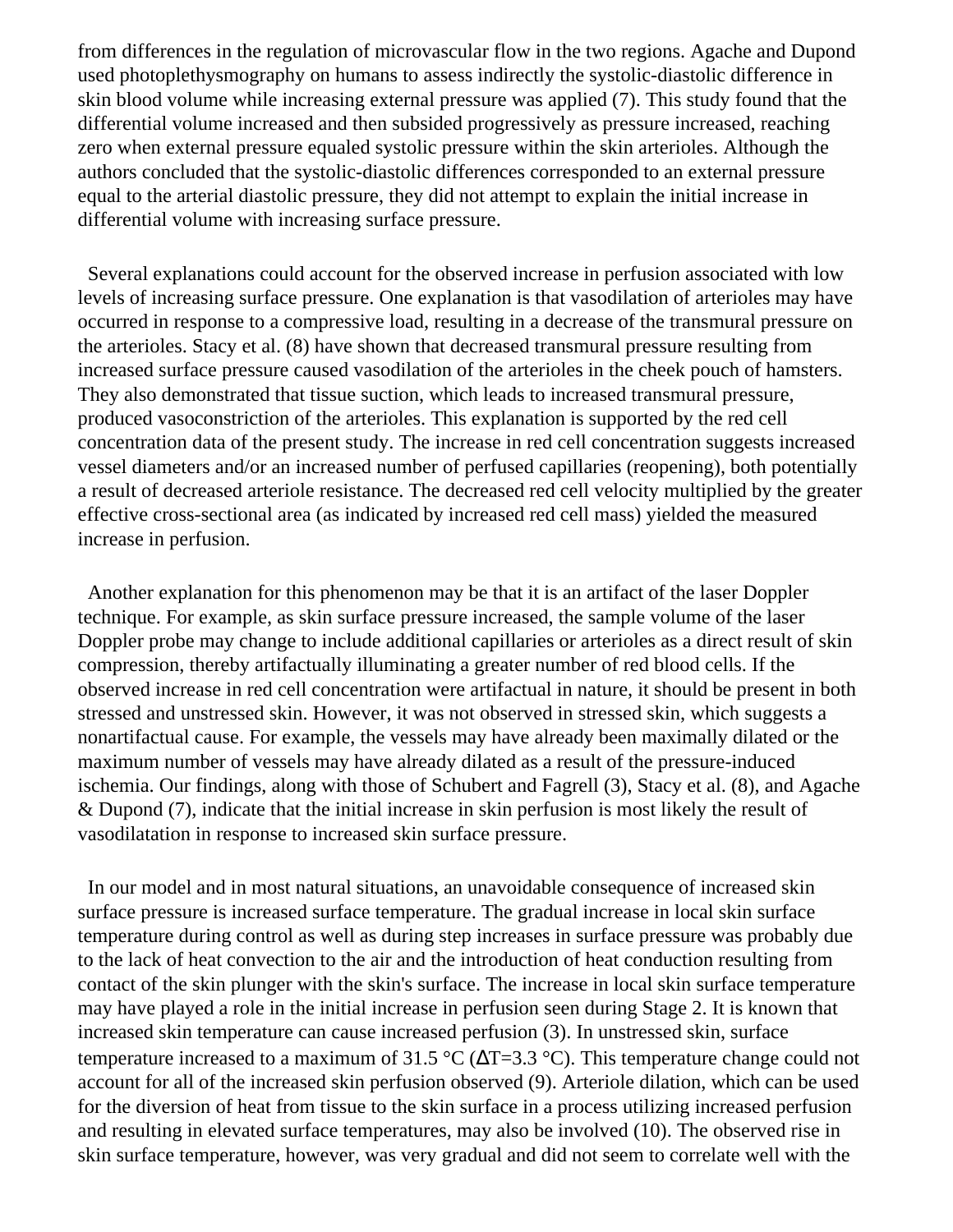from differences in the regulation of microvascular flow in the two regions. Agache and Dupond used photoplethysmography on humans to assess indirectly the systolic-diastolic difference in skin blood volume while increasing external pressure was applied (7). This study found that the differential volume increased and then subsided progressively as pressure increased, reaching zero when external pressure equaled systolic pressure within the skin arterioles. Although the authors concluded that the systolic-diastolic differences corresponded to an external pressure equal to the arterial diastolic pressure, they did not attempt to explain the initial increase in differential volume with increasing surface pressure.

 Several explanations could account for the observed increase in perfusion associated with low levels of increasing surface pressure. One explanation is that vasodilation of arterioles may have occurred in response to a compressive load, resulting in a decrease of the transmural pressure on the arterioles. Stacy et al. (8) have shown that decreased transmural pressure resulting from increased surface pressure caused vasodilation of the arterioles in the cheek pouch of hamsters. They also demonstrated that tissue suction, which leads to increased transmural pressure, produced vasoconstriction of the arterioles. This explanation is supported by the red cell concentration data of the present study. The increase in red cell concentration suggests increased vessel diameters and/or an increased number of perfused capillaries (reopening), both potentially a result of decreased arteriole resistance. The decreased red cell velocity multiplied by the greater effective cross-sectional area (as indicated by increased red cell mass) yielded the measured increase in perfusion.

 Another explanation for this phenomenon may be that it is an artifact of the laser Doppler technique. For example, as skin surface pressure increased, the sample volume of the laser Doppler probe may change to include additional capillaries or arterioles as a direct result of skin compression, thereby artifactually illuminating a greater number of red blood cells. If the observed increase in red cell concentration were artifactual in nature, it should be present in both stressed and unstressed skin. However, it was not observed in stressed skin, which suggests a nonartifactual cause. For example, the vessels may have already been maximally dilated or the maximum number of vessels may have already dilated as a result of the pressure-induced ischemia. Our findings, along with those of Schubert and Fagrell (3), Stacy et al. (8), and Agache & Dupond (7), indicate that the initial increase in skin perfusion is most likely the result of vasodilatation in response to increased skin surface pressure.

 In our model and in most natural situations, an unavoidable consequence of increased skin surface pressure is increased surface temperature. The gradual increase in local skin surface temperature during control as well as during step increases in surface pressure was probably due to the lack of heat convection to the air and the introduction of heat conduction resulting from contact of the skin plunger with the skin's surface. The increase in local skin surface temperature may have played a role in the initial increase in perfusion seen during Stage 2. It is known that increased skin temperature can cause increased perfusion (3). In unstressed skin, surface temperature increased to a maximum of 31.5 °C ( $\Delta T = 3.3$  °C). This temperature change could not account for all of the increased skin perfusion observed (9). Arteriole dilation, which can be used for the diversion of heat from tissue to the skin surface in a process utilizing increased perfusion and resulting in elevated surface temperatures, may also be involved (10). The observed rise in skin surface temperature, however, was very gradual and did not seem to correlate well with the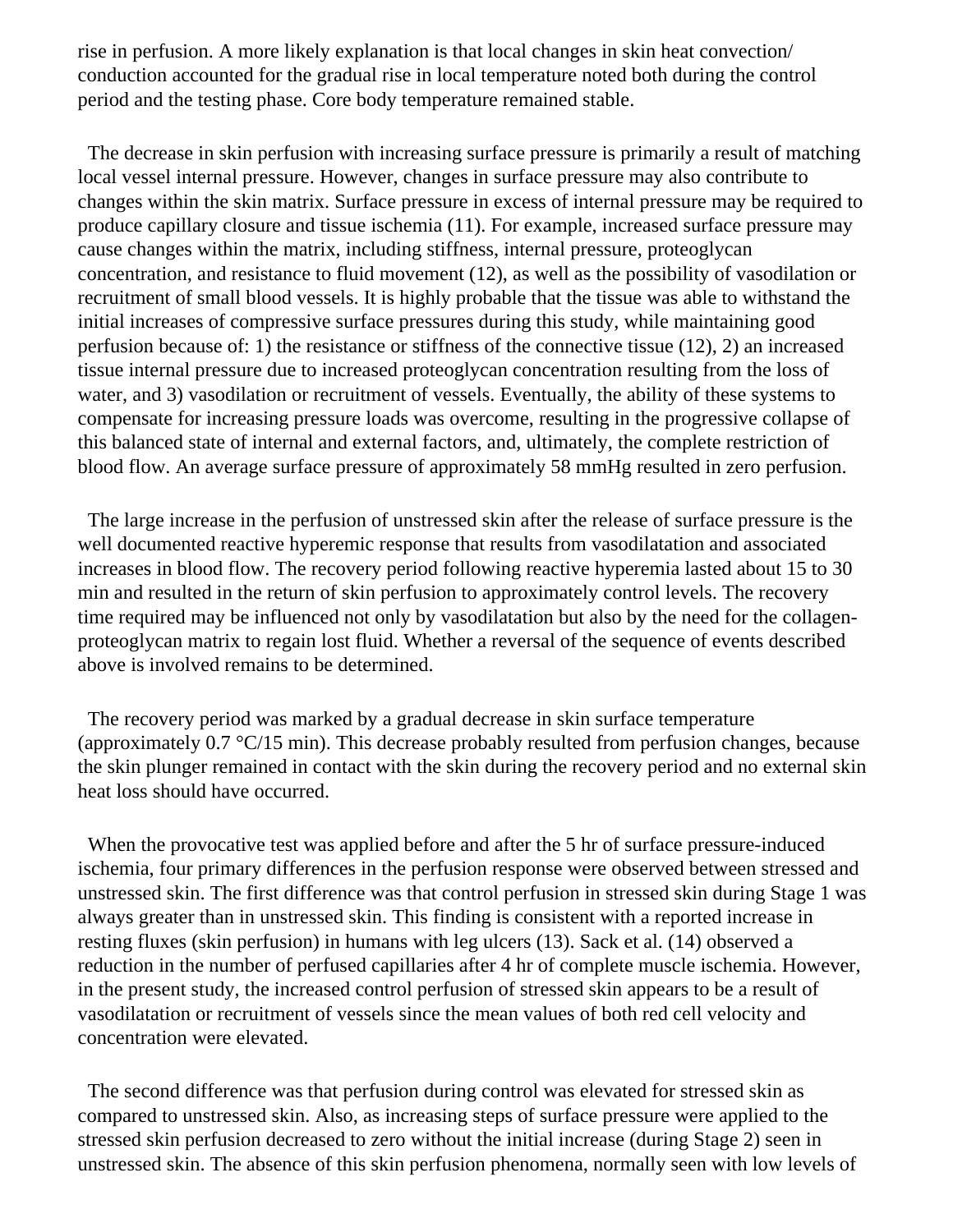rise in perfusion. A more likely explanation is that local changes in skin heat convection/ conduction accounted for the gradual rise in local temperature noted both during the control period and the testing phase. Core body temperature remained stable.

 The decrease in skin perfusion with increasing surface pressure is primarily a result of matching local vessel internal pressure. However, changes in surface pressure may also contribute to changes within the skin matrix. Surface pressure in excess of internal pressure may be required to produce capillary closure and tissue ischemia (11). For example, increased surface pressure may cause changes within the matrix, including stiffness, internal pressure, proteoglycan concentration, and resistance to fluid movement (12), as well as the possibility of vasodilation or recruitment of small blood vessels. It is highly probable that the tissue was able to withstand the initial increases of compressive surface pressures during this study, while maintaining good perfusion because of: 1) the resistance or stiffness of the connective tissue (12), 2) an increased tissue internal pressure due to increased proteoglycan concentration resulting from the loss of water, and 3) vasodilation or recruitment of vessels. Eventually, the ability of these systems to compensate for increasing pressure loads was overcome, resulting in the progressive collapse of this balanced state of internal and external factors, and, ultimately, the complete restriction of blood flow. An average surface pressure of approximately 58 mmHg resulted in zero perfusion.

 The large increase in the perfusion of unstressed skin after the release of surface pressure is the well documented reactive hyperemic response that results from vasodilatation and associated increases in blood flow. The recovery period following reactive hyperemia lasted about 15 to 30 min and resulted in the return of skin perfusion to approximately control levels. The recovery time required may be influenced not only by vasodilatation but also by the need for the collagenproteoglycan matrix to regain lost fluid. Whether a reversal of the sequence of events described above is involved remains to be determined.

 The recovery period was marked by a gradual decrease in skin surface temperature (approximately  $0.7 \text{ }^{\circ}C/15 \text{ min}$ ). This decrease probably resulted from perfusion changes, because the skin plunger remained in contact with the skin during the recovery period and no external skin heat loss should have occurred.

When the provocative test was applied before and after the 5 hr of surface pressure-induced ischemia, four primary differences in the perfusion response were observed between stressed and unstressed skin. The first difference was that control perfusion in stressed skin during Stage 1 was always greater than in unstressed skin. This finding is consistent with a reported increase in resting fluxes (skin perfusion) in humans with leg ulcers (13). Sack et al. (14) observed a reduction in the number of perfused capillaries after 4 hr of complete muscle ischemia. However, in the present study, the increased control perfusion of stressed skin appears to be a result of vasodilatation or recruitment of vessels since the mean values of both red cell velocity and concentration were elevated.

 The second difference was that perfusion during control was elevated for stressed skin as compared to unstressed skin. Also, as increasing steps of surface pressure were applied to the stressed skin perfusion decreased to zero without the initial increase (during Stage 2) seen in unstressed skin. The absence of this skin perfusion phenomena, normally seen with low levels of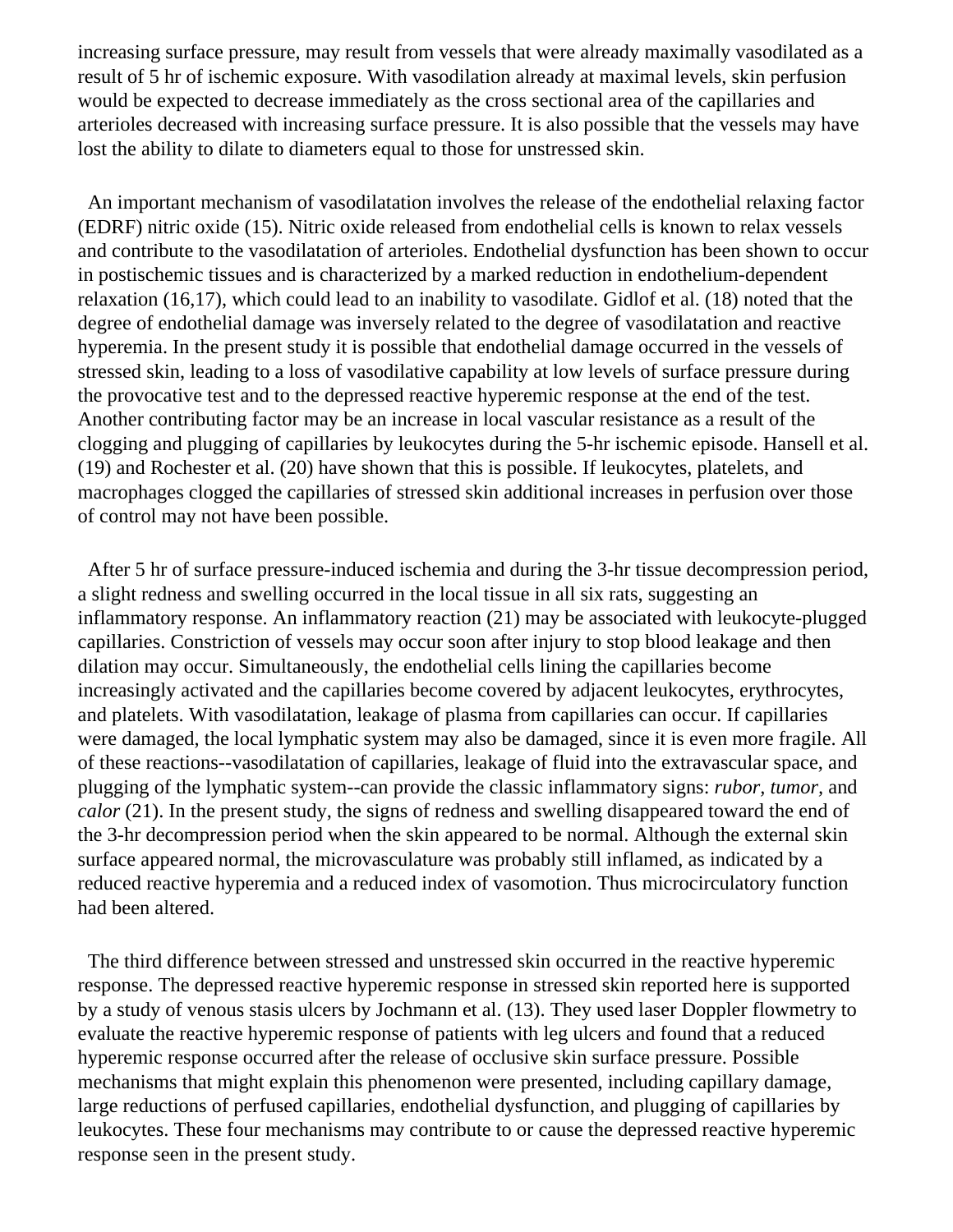increasing surface pressure, may result from vessels that were already maximally vasodilated as a result of 5 hr of ischemic exposure. With vasodilation already at maximal levels, skin perfusion would be expected to decrease immediately as the cross sectional area of the capillaries and arterioles decreased with increasing surface pressure. It is also possible that the vessels may have lost the ability to dilate to diameters equal to those for unstressed skin.

 An important mechanism of vasodilatation involves the release of the endothelial relaxing factor (EDRF) nitric oxide (15). Nitric oxide released from endothelial cells is known to relax vessels and contribute to the vasodilatation of arterioles. Endothelial dysfunction has been shown to occur in postischemic tissues and is characterized by a marked reduction in endothelium-dependent relaxation (16,17), which could lead to an inability to vasodilate. Gidlof et al. (18) noted that the degree of endothelial damage was inversely related to the degree of vasodilatation and reactive hyperemia. In the present study it is possible that endothelial damage occurred in the vessels of stressed skin, leading to a loss of vasodilative capability at low levels of surface pressure during the provocative test and to the depressed reactive hyperemic response at the end of the test. Another contributing factor may be an increase in local vascular resistance as a result of the clogging and plugging of capillaries by leukocytes during the 5-hr ischemic episode. Hansell et al. (19) and Rochester et al. (20) have shown that this is possible. If leukocytes, platelets, and macrophages clogged the capillaries of stressed skin additional increases in perfusion over those of control may not have been possible.

 After 5 hr of surface pressure-induced ischemia and during the 3-hr tissue decompression period, a slight redness and swelling occurred in the local tissue in all six rats, suggesting an inflammatory response. An inflammatory reaction (21) may be associated with leukocyte-plugged capillaries. Constriction of vessels may occur soon after injury to stop blood leakage and then dilation may occur. Simultaneously, the endothelial cells lining the capillaries become increasingly activated and the capillaries become covered by adjacent leukocytes, erythrocytes, and platelets. With vasodilatation, leakage of plasma from capillaries can occur. If capillaries were damaged, the local lymphatic system may also be damaged, since it is even more fragile. All of these reactions--vasodilatation of capillaries, leakage of fluid into the extravascular space, and plugging of the lymphatic system--can provide the classic inflammatory signs: *rubor, tumor,* and *calor* (21). In the present study, the signs of redness and swelling disappeared toward the end of the 3-hr decompression period when the skin appeared to be normal. Although the external skin surface appeared normal, the microvasculature was probably still inflamed, as indicated by a reduced reactive hyperemia and a reduced index of vasomotion. Thus microcirculatory function had been altered.

 The third difference between stressed and unstressed skin occurred in the reactive hyperemic response. The depressed reactive hyperemic response in stressed skin reported here is supported by a study of venous stasis ulcers by Jochmann et al. (13). They used laser Doppler flowmetry to evaluate the reactive hyperemic response of patients with leg ulcers and found that a reduced hyperemic response occurred after the release of occlusive skin surface pressure. Possible mechanisms that might explain this phenomenon were presented, including capillary damage, large reductions of perfused capillaries, endothelial dysfunction, and plugging of capillaries by leukocytes. These four mechanisms may contribute to or cause the depressed reactive hyperemic response seen in the present study.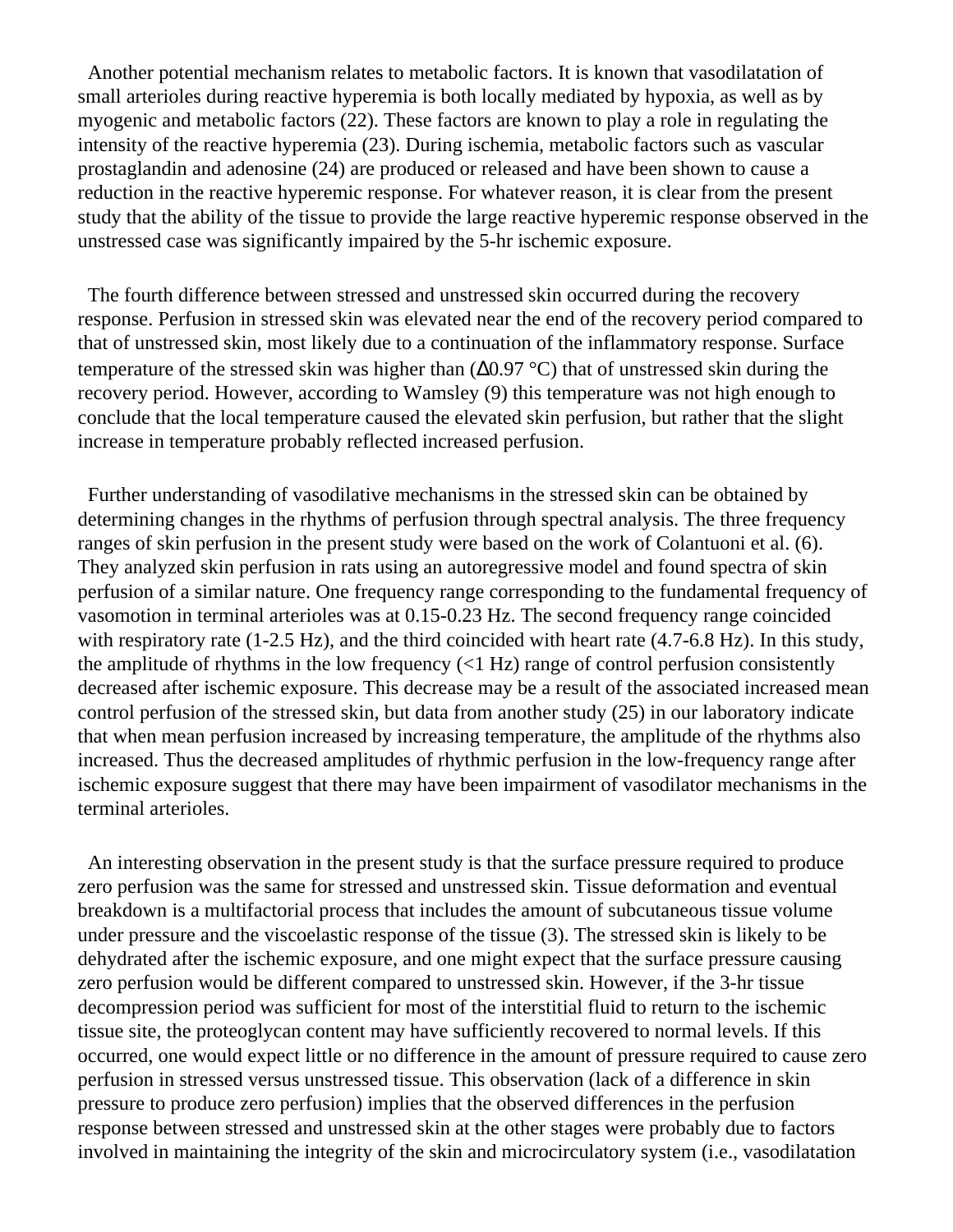Another potential mechanism relates to metabolic factors. It is known that vasodilatation of small arterioles during reactive hyperemia is both locally mediated by hypoxia, as well as by myogenic and metabolic factors (22). These factors are known to play a role in regulating the intensity of the reactive hyperemia (23). During ischemia, metabolic factors such as vascular prostaglandin and adenosine (24) are produced or released and have been shown to cause a reduction in the reactive hyperemic response. For whatever reason, it is clear from the present study that the ability of the tissue to provide the large reactive hyperemic response observed in the unstressed case was significantly impaired by the 5-hr ischemic exposure.

 The fourth difference between stressed and unstressed skin occurred during the recovery response. Perfusion in stressed skin was elevated near the end of the recovery period compared to that of unstressed skin, most likely due to a continuation of the inflammatory response. Surface temperature of the stressed skin was higher than (∆0.97 °C) that of unstressed skin during the recovery period. However, according to Wamsley (9) this temperature was not high enough to conclude that the local temperature caused the elevated skin perfusion, but rather that the slight increase in temperature probably reflected increased perfusion.

 Further understanding of vasodilative mechanisms in the stressed skin can be obtained by determining changes in the rhythms of perfusion through spectral analysis. The three frequency ranges of skin perfusion in the present study were based on the work of Colantuoni et al. (6). They analyzed skin perfusion in rats using an autoregressive model and found spectra of skin perfusion of a similar nature. One frequency range corresponding to the fundamental frequency of vasomotion in terminal arterioles was at 0.15-0.23 Hz. The second frequency range coincided with respiratory rate (1-2.5 Hz), and the third coincided with heart rate (4.7-6.8 Hz). In this study, the amplitude of rhythms in the low frequency  $(<1 Hz)$  range of control perfusion consistently decreased after ischemic exposure. This decrease may be a result of the associated increased mean control perfusion of the stressed skin, but data from another study (25) in our laboratory indicate that when mean perfusion increased by increasing temperature, the amplitude of the rhythms also increased. Thus the decreased amplitudes of rhythmic perfusion in the low-frequency range after ischemic exposure suggest that there may have been impairment of vasodilator mechanisms in the terminal arterioles.

 An interesting observation in the present study is that the surface pressure required to produce zero perfusion was the same for stressed and unstressed skin. Tissue deformation and eventual breakdown is a multifactorial process that includes the amount of subcutaneous tissue volume under pressure and the viscoelastic response of the tissue (3). The stressed skin is likely to be dehydrated after the ischemic exposure, and one might expect that the surface pressure causing zero perfusion would be different compared to unstressed skin. However, if the 3-hr tissue decompression period was sufficient for most of the interstitial fluid to return to the ischemic tissue site, the proteoglycan content may have sufficiently recovered to normal levels. If this occurred, one would expect little or no difference in the amount of pressure required to cause zero perfusion in stressed versus unstressed tissue. This observation (lack of a difference in skin pressure to produce zero perfusion) implies that the observed differences in the perfusion response between stressed and unstressed skin at the other stages were probably due to factors involved in maintaining the integrity of the skin and microcirculatory system (i.e., vasodilatation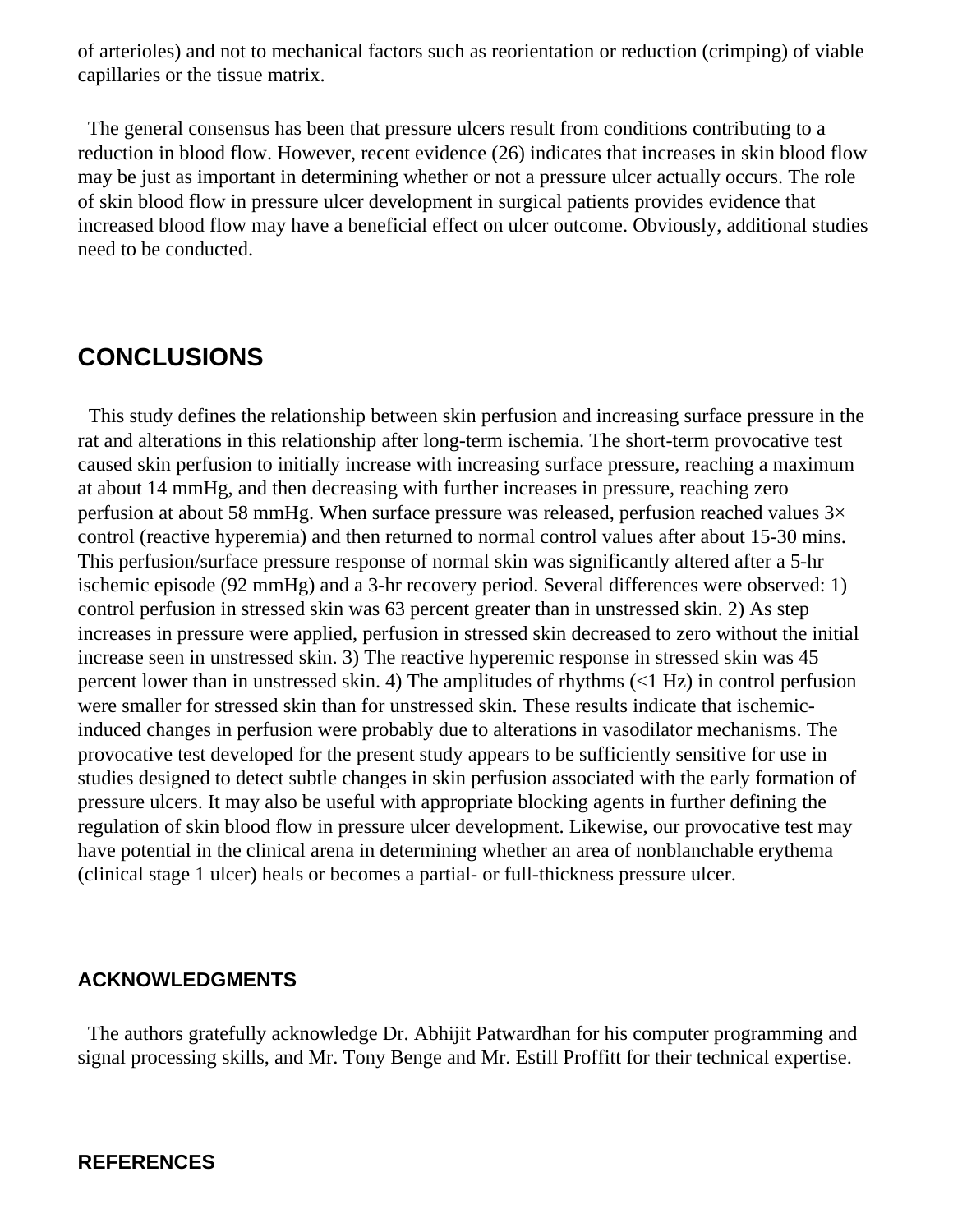of arterioles) and not to mechanical factors such as reorientation or reduction (crimping) of viable capillaries or the tissue matrix.

 The general consensus has been that pressure ulcers result from conditions contributing to a reduction in blood flow. However, recent evidence (26) indicates that increases in skin blood flow may be just as important in determining whether or not a pressure ulcer actually occurs. The role of skin blood flow in pressure ulcer development in surgical patients provides evidence that increased blood flow may have a beneficial effect on ulcer outcome. Obviously, additional studies need to be conducted.

# **CONCLUSIONS**

 This study defines the relationship between skin perfusion and increasing surface pressure in the rat and alterations in this relationship after long-term ischemia. The short-term provocative test caused skin perfusion to initially increase with increasing surface pressure, reaching a maximum at about 14 mmHg, and then decreasing with further increases in pressure, reaching zero perfusion at about 58 mmHg. When surface pressure was released, perfusion reached values  $3\times$ control (reactive hyperemia) and then returned to normal control values after about 15-30 mins. This perfusion/surface pressure response of normal skin was significantly altered after a 5-hr ischemic episode (92 mmHg) and a 3-hr recovery period. Several differences were observed: 1) control perfusion in stressed skin was 63 percent greater than in unstressed skin. 2) As step increases in pressure were applied, perfusion in stressed skin decreased to zero without the initial increase seen in unstressed skin. 3) The reactive hyperemic response in stressed skin was 45 percent lower than in unstressed skin. 4) The amplitudes of rhythms (<1 Hz) in control perfusion were smaller for stressed skin than for unstressed skin. These results indicate that ischemicinduced changes in perfusion were probably due to alterations in vasodilator mechanisms. The provocative test developed for the present study appears to be sufficiently sensitive for use in studies designed to detect subtle changes in skin perfusion associated with the early formation of pressure ulcers. It may also be useful with appropriate blocking agents in further defining the regulation of skin blood flow in pressure ulcer development. Likewise, our provocative test may have potential in the clinical arena in determining whether an area of nonblanchable erythema (clinical stage 1 ulcer) heals or becomes a partial- or full-thickness pressure ulcer.

### **ACKNOWLEDGMENTS**

 The authors gratefully acknowledge Dr. Abhijit Patwardhan for his computer programming and signal processing skills, and Mr. Tony Benge and Mr. Estill Proffitt for their technical expertise.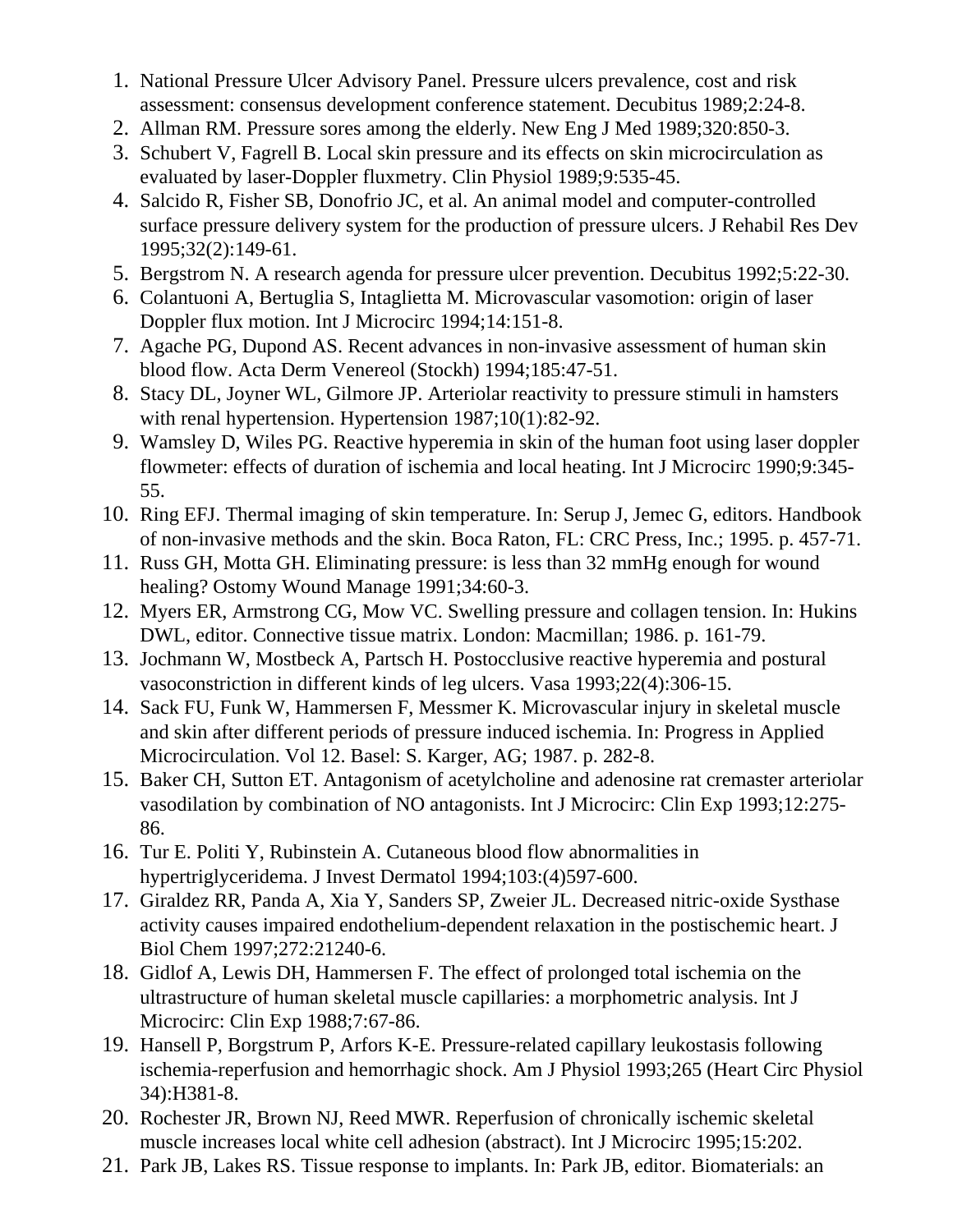- 1. National Pressure Ulcer Advisory Panel. Pressure ulcers prevalence, cost and risk assessment: consensus development conference statement. Decubitus 1989;2:24-8.
- 2. Allman RM. Pressure sores among the elderly. New Eng J Med 1989;320:850-3.
- 3. Schubert V, Fagrell B. Local skin pressure and its effects on skin microcirculation as evaluated by laser-Doppler fluxmetry. Clin Physiol 1989;9:535-45.
- 4. Salcido R, Fisher SB, Donofrio JC, et al. An animal model and computer-controlled surface pressure delivery system for the production of pressure ulcers. J Rehabil Res Dev 1995;32(2):149-61.
- 5. Bergstrom N. A research agenda for pressure ulcer prevention. Decubitus 1992;5:22-30.
- 6. Colantuoni A, Bertuglia S, Intaglietta M. Microvascular vasomotion: origin of laser Doppler flux motion. Int J Microcirc 1994;14:151-8.
- 7. Agache PG, Dupond AS. Recent advances in non-invasive assessment of human skin blood flow. Acta Derm Venereol (Stockh) 1994;185:47-51.
- 8. Stacy DL, Joyner WL, Gilmore JP. Arteriolar reactivity to pressure stimuli in hamsters with renal hypertension. Hypertension  $1987;10(1):82-92$ .
- 9. Wamsley D, Wiles PG. Reactive hyperemia in skin of the human foot using laser doppler flowmeter: effects of duration of ischemia and local heating. Int J Microcirc 1990;9:345- 55.
- 10. Ring EFJ. Thermal imaging of skin temperature. In: Serup J, Jemec G, editors. Handbook of non-invasive methods and the skin. Boca Raton, FL: CRC Press, Inc.; 1995. p. 457-71.
- 11. Russ GH, Motta GH. Eliminating pressure: is less than 32 mmHg enough for wound healing? Ostomy Wound Manage 1991;34:60-3.
- 12. Myers ER, Armstrong CG, Mow VC. Swelling pressure and collagen tension. In: Hukins DWL, editor. Connective tissue matrix. London: Macmillan; 1986. p. 161-79.
- 13. Jochmann W, Mostbeck A, Partsch H. Postocclusive reactive hyperemia and postural vasoconstriction in different kinds of leg ulcers. Vasa 1993;22(4):306-15.
- 14. Sack FU, Funk W, Hammersen F, Messmer K. Microvascular injury in skeletal muscle and skin after different periods of pressure induced ischemia. In: Progress in Applied Microcirculation. Vol 12. Basel: S. Karger, AG; 1987. p. 282-8.
- 15. Baker CH, Sutton ET. Antagonism of acetylcholine and adenosine rat cremaster arteriolar vasodilation by combination of NO antagonists. Int J Microcirc: Clin Exp 1993;12:275- 86.
- 16. Tur E. Politi Y, Rubinstein A. Cutaneous blood flow abnormalities in hypertriglyceridema. J Invest Dermatol 1994;103:(4)597-600.
- 17. Giraldez RR, Panda A, Xia Y, Sanders SP, Zweier JL. Decreased nitric-oxide Systhase activity causes impaired endothelium-dependent relaxation in the postischemic heart. J Biol Chem 1997;272:21240-6.
- 18. Gidlof A, Lewis DH, Hammersen F. The effect of prolonged total ischemia on the ultrastructure of human skeletal muscle capillaries: a morphometric analysis. Int J Microcirc: Clin Exp 1988;7:67-86.
- 19. Hansell P, Borgstrum P, Arfors K-E. Pressure-related capillary leukostasis following ischemia-reperfusion and hemorrhagic shock. Am J Physiol 1993;265 (Heart Circ Physiol 34):H381-8.
- 20. Rochester JR, Brown NJ, Reed MWR. Reperfusion of chronically ischemic skeletal muscle increases local white cell adhesion (abstract). Int J Microcirc 1995;15:202.
- 21. Park JB, Lakes RS. Tissue response to implants. In: Park JB, editor. Biomaterials: an